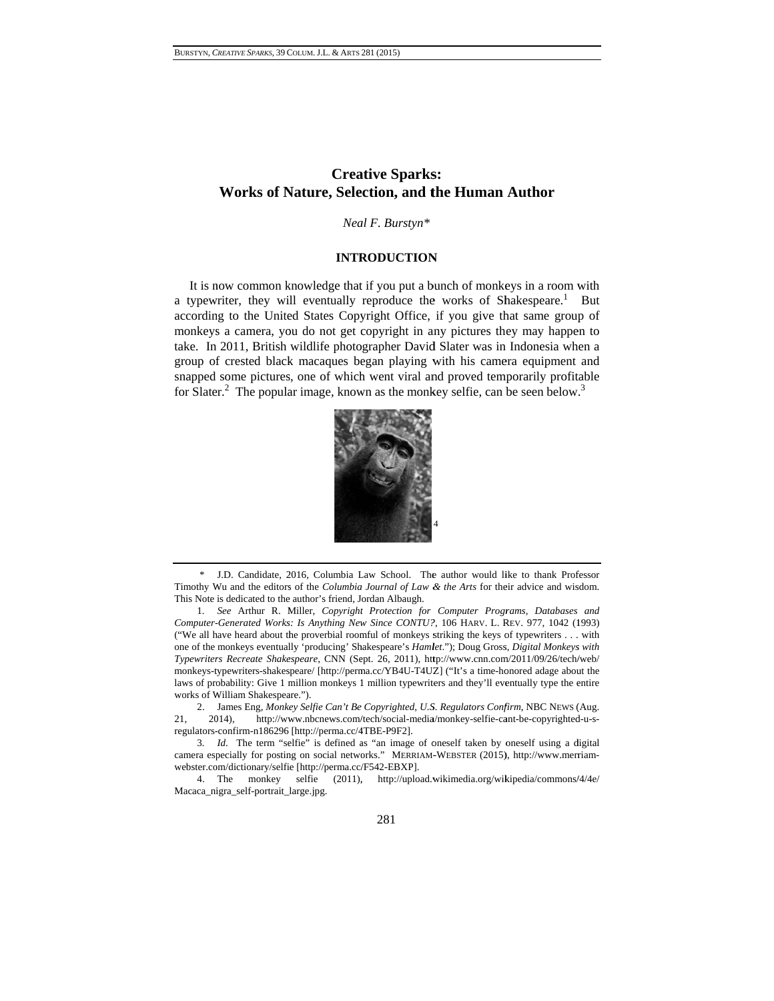# Works of Nature, Selection, and the Human Author **Creative Sparks:**

# *Nea al F. Burstyn\**

### **INTR RODUCTION N**

It is now common knowledge that if you put a bunch of monkeys in a room with a typewriter, they will eventually reproduce the works of Shakespeare.<sup>1</sup> But according to the United States Copyright Office, if you give that same group of monkeys a camera, you do not get copyright in any pictures they may happen to take. In 2011, British wildlife photographer David Slater was in Indonesia when a group of crested black macaques began playing with his camera equipment and snapped some pictures, one of which went viral and proved temporarily profitable for Slater.<sup>2</sup> The popular image, known as the monkey selfie, can be seen below.<sup>3</sup>



 <sup>\*</sup>  J.D. Candidate, 2 2016, Columbia L Law School. The e author would li ike to thank Prof fessor Timothy Wu and the editors of the *Columbia Journal of Law & the Arts* for their advice and wisdom. This Note is dedicated to the author's friend, Jordan Albaugh.

 2. James Eng, *Monk key Selfie Can't Be e Copyrighted, U.S S. Regulators Conf firm*, NBC NEWS ( (Aug. 2014). regulators-confirm-n186296 [http://perma.cc/4TBE-P9F2]. 014), http://www.nbcnews.com/tech/social-media/monkey-selfie-cant-be-copyrighted-u-s-

3. *Id.* The term "selfie" is defined as "an image of oneself taken by oneself using a digital camera especially for posting on social networks." MERRIAM-WEBSTER (2015), http://www.merriamwebster.com/dictionary/selfie [http://perma.cc/F542-EBXP].

4. The monkey selfie (2011), http://upload.wikimedia.org/wikipedia/commons/4/4e/ Macaca\_nigra\_self-portrait\_large.jpg.

<sup>1.</sup> See Arthur R. Miller, *Copyright Protection for Computer Programs, Databases and* Computer-Generated Works: Is Anything New Since CONTU?, 106 HARV. L. REV. 977, 1042 (1993) ("We all have heard about the proverbial roomful of monkeys striking the keys of typewriters . . . with one of the monkeys eventually 'producing' Shakespeare's *Hamlet*."); Doug Gross, *Digital Monkeys with* Typewriters Recreate Shakespeare, CNN (Sept. 26, 2011), http://www.cnn.com/2011/09/26/tech/web/ monkeys-typewriters-shakespeare/ [http://perma.cc/YB4U-T4UZ] ("It's a time-honored adage about the laws of probability: Give 1 million monkeys 1 million typewriters and they'll eventually type the entire works of William Shakespeare.").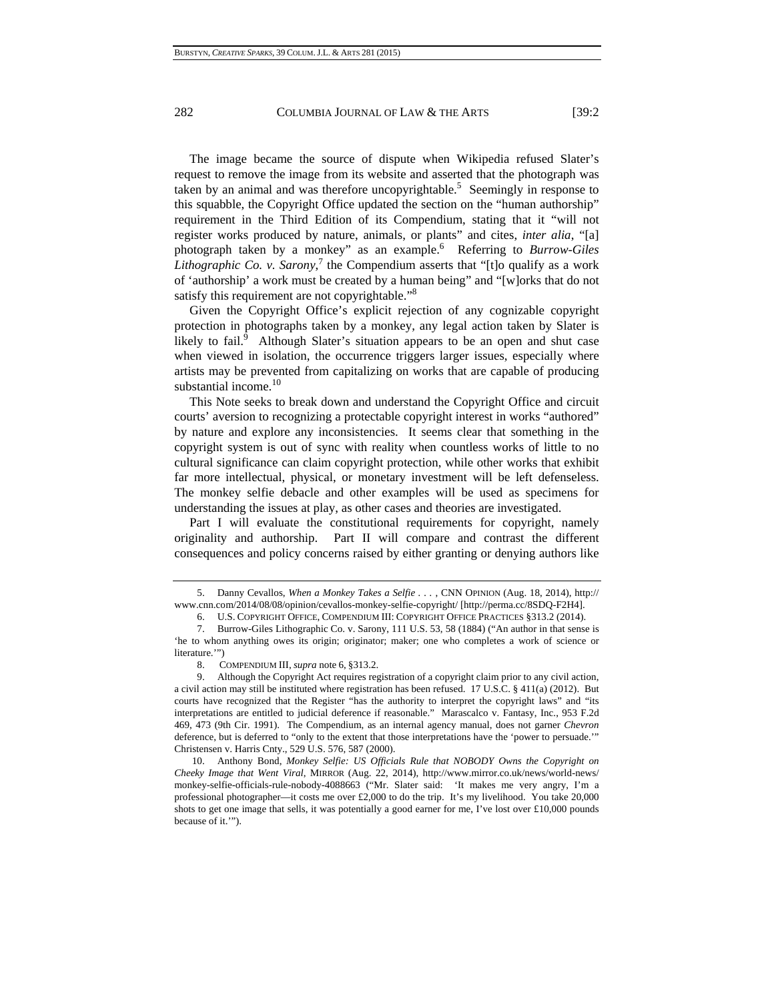The image became the source of dispute when Wikipedia refused Slater's request to remove the image from its website and asserted that the photograph was taken by an animal and was therefore uncopyrightable.<sup>5</sup> Seemingly in response to this squabble, the Copyright Office updated the section on the "human authorship" requirement in the Third Edition of its Compendium, stating that it "will not register works produced by nature, animals, or plants" and cites, *inter alia*, "[a] photograph taken by a monkey" as an example.<sup>6</sup> Referring to *Burrow-Giles* Lithographic Co. v. Sarony,<sup>7</sup> the Compendium asserts that "[t]o qualify as a work of 'authorship' a work must be created by a human being" and "[w]orks that do not satisfy this requirement are not copyrightable."<sup>8</sup>

Given the Copyright Office's explicit rejection of any cognizable copyright protection in photographs taken by a monkey, any legal action taken by Slater is likely to fail.<sup>9</sup> Although Slater's situation appears to be an open and shut case when viewed in isolation, the occurrence triggers larger issues, especially where artists may be prevented from capitalizing on works that are capable of producing substantial income.<sup>10</sup>

This Note seeks to break down and understand the Copyright Office and circuit courts' aversion to recognizing a protectable copyright interest in works "authored" by nature and explore any inconsistencies. It seems clear that something in the copyright system is out of sync with reality when countless works of little to no cultural significance can claim copyright protection, while other works that exhibit far more intellectual, physical, or monetary investment will be left defenseless. The monkey selfie debacle and other examples will be used as specimens for understanding the issues at play, as other cases and theories are investigated.

Part I will evaluate the constitutional requirements for copyright, namely originality and authorship. Part II will compare and contrast the different consequences and policy concerns raised by either granting or denying authors like

 <sup>5.</sup> Danny Cevallos, *When a Monkey Takes a Selfie . . .* , CNN OPINION (Aug. 18, 2014), http:// www.cnn.com/2014/08/08/opinion/cevallos-monkey-selfie-copyright/ [http://perma.cc/8SDQ-F2H4]. 6. U.S. COPYRIGHT OFFICE, COMPENDIUM III: COPYRIGHT OFFICE PRACTICES §313.2 (2014).

 <sup>7.</sup> Burrow-Giles Lithographic Co. v. Sarony, 111 U.S. 53, 58 (1884) ("An author in that sense is 'he to whom anything owes its origin; originator; maker; one who completes a work of science or literature."

 <sup>8.</sup> COMPENDIUM III, *supra* note 6, §313.2.

 <sup>9.</sup> Although the Copyright Act requires registration of a copyright claim prior to any civil action, a civil action may still be instituted where registration has been refused. 17 U.S.C. § 411(a) (2012). But courts have recognized that the Register "has the authority to interpret the copyright laws" and "its interpretations are entitled to judicial deference if reasonable." Marascalco v. Fantasy, Inc., 953 F.2d 469, 473 (9th Cir. 1991). The Compendium, as an internal agency manual, does not garner *Chevron* deference, but is deferred to "only to the extent that those interpretations have the 'power to persuade.'" Christensen v. Harris Cnty., 529 U.S. 576, 587 (2000).

 <sup>10.</sup> Anthony Bond, *Monkey Selfie: US Officials Rule that NOBODY Owns the Copyright on Cheeky Image that Went Viral*, MIRROR (Aug. 22, 2014), http://www.mirror.co.uk/news/world-news/ monkey-selfie-officials-rule-nobody-4088663 ("Mr. Slater said: 'It makes me very angry, I'm a professional photographer—it costs me over £2,000 to do the trip. It's my livelihood. You take 20,000 shots to get one image that sells, it was potentially a good earner for me, I've lost over £10,000 pounds because of it.'").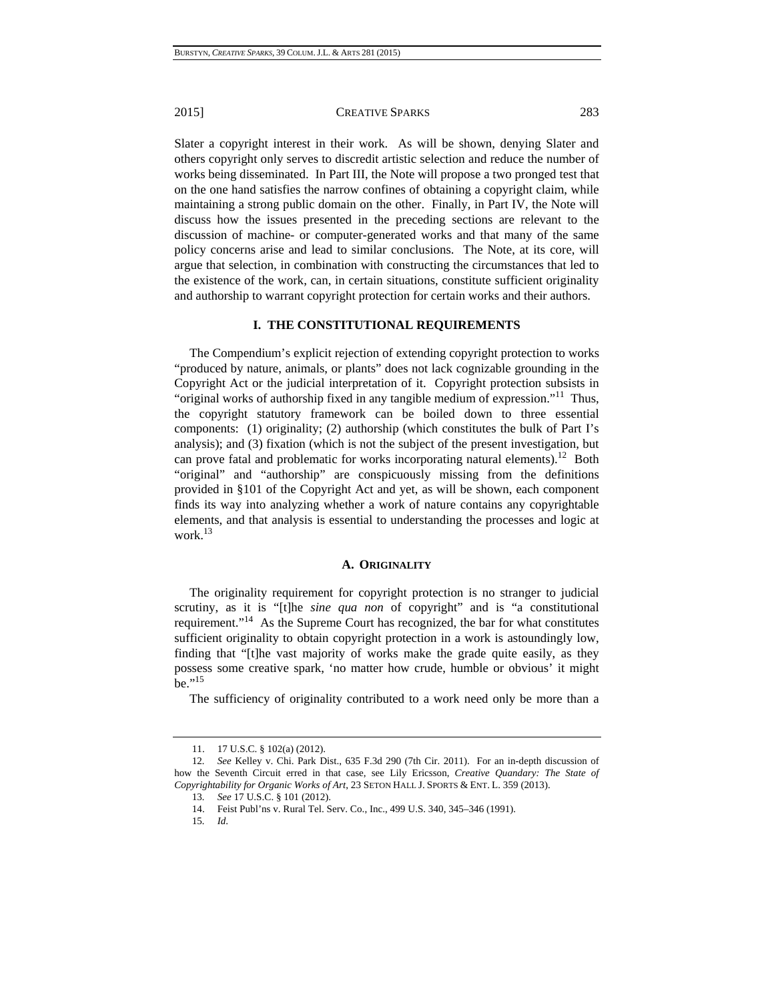Slater a copyright interest in their work. As will be shown, denying Slater and others copyright only serves to discredit artistic selection and reduce the number of works being disseminated. In Part III, the Note will propose a two pronged test that on the one hand satisfies the narrow confines of obtaining a copyright claim, while maintaining a strong public domain on the other. Finally, in Part IV, the Note will discuss how the issues presented in the preceding sections are relevant to the discussion of machine- or computer-generated works and that many of the same policy concerns arise and lead to similar conclusions. The Note, at its core, will argue that selection, in combination with constructing the circumstances that led to the existence of the work, can, in certain situations, constitute sufficient originality and authorship to warrant copyright protection for certain works and their authors.

### **I. THE CONSTITUTIONAL REQUIREMENTS**

The Compendium's explicit rejection of extending copyright protection to works "produced by nature, animals, or plants" does not lack cognizable grounding in the Copyright Act or the judicial interpretation of it. Copyright protection subsists in "original works of authorship fixed in any tangible medium of expression."<sup>11</sup> Thus, the copyright statutory framework can be boiled down to three essential components: (1) originality; (2) authorship (which constitutes the bulk of Part I's analysis); and (3) fixation (which is not the subject of the present investigation, but can prove fatal and problematic for works incorporating natural elements).<sup>12</sup> Both "original" and "authorship" are conspicuously missing from the definitions provided in §101 of the Copyright Act and yet, as will be shown, each component finds its way into analyzing whether a work of nature contains any copyrightable elements, and that analysis is essential to understanding the processes and logic at work.13

### **A. ORIGINALITY**

The originality requirement for copyright protection is no stranger to judicial scrutiny, as it is "[t]he *sine qua non* of copyright" and is "a constitutional requirement."14 As the Supreme Court has recognized, the bar for what constitutes sufficient originality to obtain copyright protection in a work is astoundingly low, finding that "[t]he vast majority of works make the grade quite easily, as they possess some creative spark, 'no matter how crude, humble or obvious' it might be." $15$ 

The sufficiency of originality contributed to a work need only be more than a

 <sup>11. 17</sup> U.S.C. § 102(a) (2012).

<sup>12</sup>*. See* Kelley v. Chi. Park Dist., 635 F.3d 290 (7th Cir. 2011). For an in-depth discussion of how the Seventh Circuit erred in that case, see Lily Ericsson, *Creative Quandary: The State of Copyrightability for Organic Works of Art*, 23 SETON HALL J. SPORTS & ENT. L. 359 (2013).

<sup>13</sup>*. See* 17 U.S.C. § 101 (2012).

 <sup>14.</sup> Feist Publ'ns v. Rural Tel. Serv. Co., Inc., 499 U.S. 340, 345–346 (1991).

<sup>15</sup>*. Id*.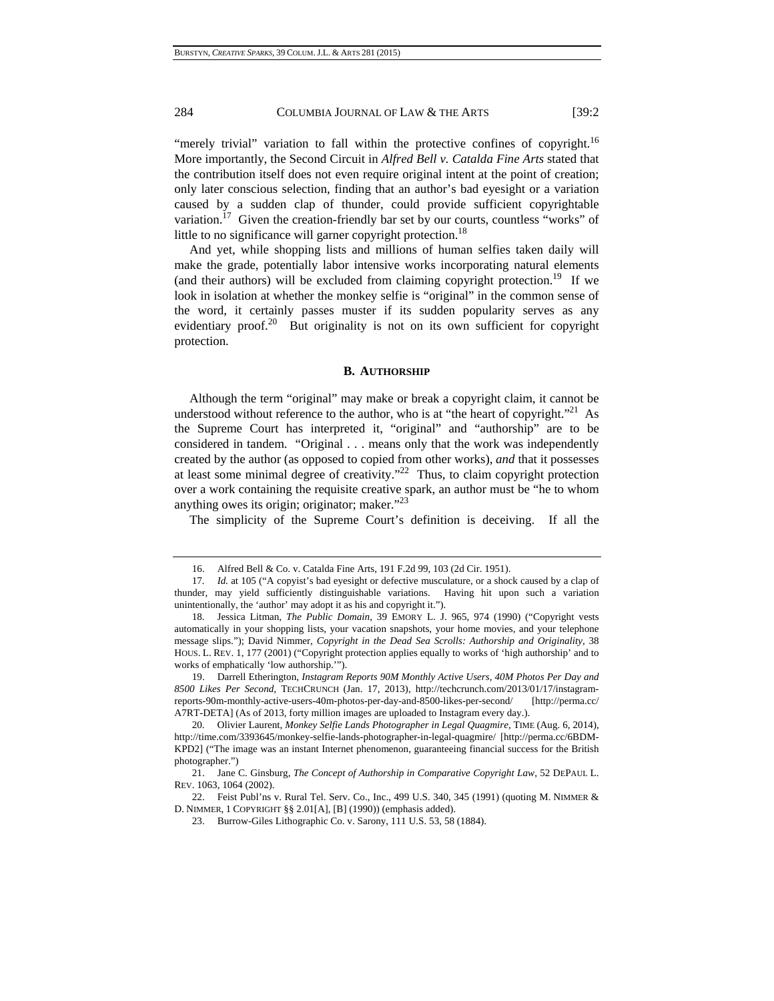"merely trivial" variation to fall within the protective confines of copyright.<sup>16</sup> More importantly, the Second Circuit in *Alfred Bell v. Catalda Fine Arts* stated that the contribution itself does not even require original intent at the point of creation; only later conscious selection, finding that an author's bad eyesight or a variation caused by a sudden clap of thunder, could provide sufficient copyrightable variation.17 Given the creation-friendly bar set by our courts, countless "works" of little to no significance will garner copyright protection.<sup>18</sup>

And yet, while shopping lists and millions of human selfies taken daily will make the grade, potentially labor intensive works incorporating natural elements (and their authors) will be excluded from claiming copyright protection.<sup>19</sup> If we look in isolation at whether the monkey selfie is "original" in the common sense of the word, it certainly passes muster if its sudden popularity serves as any evidentiary proof.<sup>20</sup> But originality is not on its own sufficient for copyright protection.

### **B. AUTHORSHIP**

Although the term "original" may make or break a copyright claim, it cannot be understood without reference to the author, who is at "the heart of copyright."<sup>21</sup> As the Supreme Court has interpreted it, "original" and "authorship" are to be considered in tandem. "Original . . . means only that the work was independently created by the author (as opposed to copied from other works), *and* that it possesses at least some minimal degree of creativity."<sup>22</sup> Thus, to claim copyright protection over a work containing the requisite creative spark, an author must be "he to whom anything owes its origin; originator; maker."<sup>23</sup>

The simplicity of the Supreme Court's definition is deceiving. If all the

 22. Feist Publ'ns v. Rural Tel. Serv. Co., Inc., 499 U.S. 340, 345 (1991) (quoting M. NIMMER & D. NIMMER, 1 COPYRIGHT §§ 2.01[A], [B] (1990)) (emphasis added).

 <sup>16.</sup> Alfred Bell & Co. v. Catalda Fine Arts, 191 F.2d 99, 103 (2d Cir. 1951).

<sup>17</sup>*. Id.* at 105 ("A copyist's bad eyesight or defective musculature, or a shock caused by a clap of thunder, may yield sufficiently distinguishable variations. Having hit upon such a variation unintentionally, the 'author' may adopt it as his and copyright it.").

 <sup>18.</sup> Jessica Litman, *The Public Domain*, 39 EMORY L. J. 965, 974 (1990) ("Copyright vests automatically in your shopping lists, your vacation snapshots, your home movies, and your telephone message slips."); David Nimmer, *Copyright in the Dead Sea Scrolls: Authorship and Originality*, 38 HOUS. L. REV. 1, 177 (2001) ("Copyright protection applies equally to works of 'high authorship' and to works of emphatically 'low authorship.'").

 <sup>19.</sup> Darrell Etherington, *Instagram Reports 90M Monthly Active Users, 40M Photos Per Day and 8500 Likes Per Second*, TECHCRUNCH (Jan. 17, 2013), http://techcrunch.com/2013/01/17/instagramreports-90m-monthly-active-users-40m-photos-per-day-and-8500-likes-per-second/ [http://perma.cc/ A7RT-DETA] (As of 2013, forty million images are uploaded to Instagram every day.).

 <sup>20.</sup> Olivier Laurent, *Monkey Selfie Lands Photographer in Legal Quagmire*, TIME (Aug. 6, 2014), http://time.com/3393645/monkey-selfie-lands-photographer-in-legal-quagmire/ [http://perma.cc/6BDM-KPD2] ("The image was an instant Internet phenomenon, guaranteeing financial success for the British photographer.")

 <sup>21.</sup> Jane C. Ginsburg, *The Concept of Authorship in Comparative Copyright Law*, 52 DEPAUL L. REV. 1063, 1064 (2002).

 <sup>23.</sup> Burrow-Giles Lithographic Co. v. Sarony, 111 U.S. 53, 58 (1884).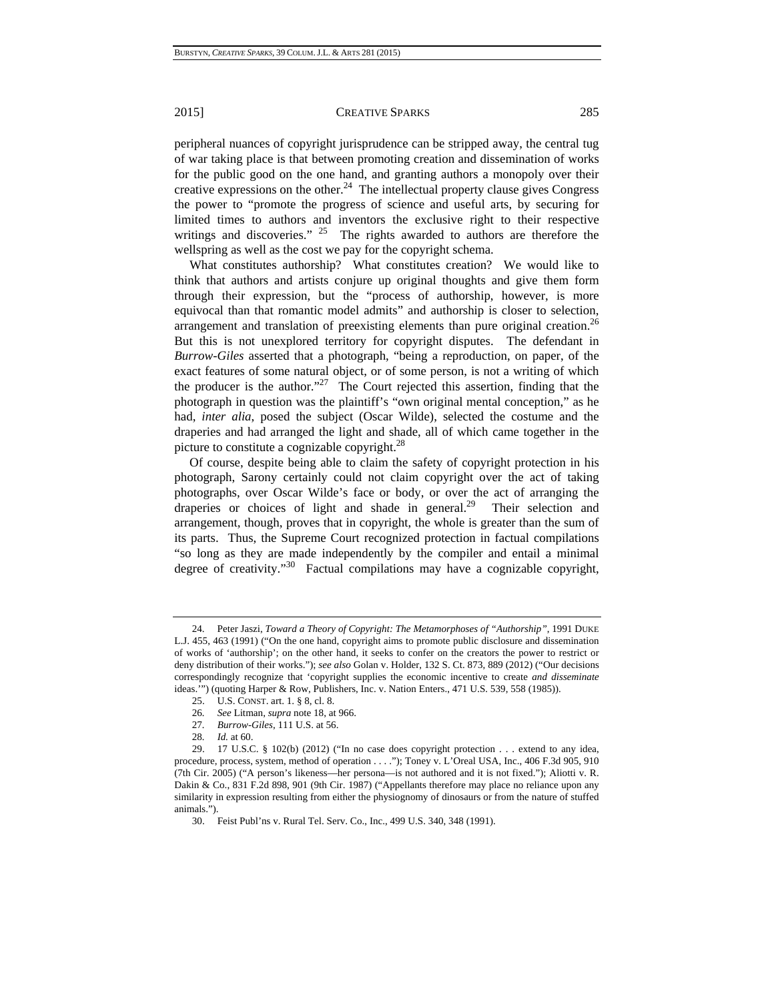peripheral nuances of copyright jurisprudence can be stripped away, the central tug of war taking place is that between promoting creation and dissemination of works for the public good on the one hand, and granting authors a monopoly over their creative expressions on the other.<sup>24</sup> The intellectual property clause gives Congress the power to "promote the progress of science and useful arts, by securing for limited times to authors and inventors the exclusive right to their respective writings and discoveries."  $25$  The rights awarded to authors are therefore the wellspring as well as the cost we pay for the copyright schema.

What constitutes authorship? What constitutes creation? We would like to think that authors and artists conjure up original thoughts and give them form through their expression, but the "process of authorship, however, is more equivocal than that romantic model admits" and authorship is closer to selection, arrangement and translation of preexisting elements than pure original creation.<sup>26</sup> But this is not unexplored territory for copyright disputes. The defendant in *Burrow-Giles* asserted that a photograph, "being a reproduction, on paper, of the exact features of some natural object, or of some person, is not a writing of which the producer is the author."<sup>27</sup> The Court rejected this assertion, finding that the photograph in question was the plaintiff's "own original mental conception," as he had, *inter alia*, posed the subject (Oscar Wilde), selected the costume and the draperies and had arranged the light and shade, all of which came together in the picture to constitute a cognizable copyright.28

Of course, despite being able to claim the safety of copyright protection in his photograph, Sarony certainly could not claim copyright over the act of taking photographs, over Oscar Wilde's face or body, or over the act of arranging the draperies or choices of light and shade in general.<sup>29</sup> Their selection and arrangement, though, proves that in copyright, the whole is greater than the sum of its parts. Thus, the Supreme Court recognized protection in factual compilations "so long as they are made independently by the compiler and entail a minimal degree of creativity."30 Factual compilations may have a cognizable copyright,

 <sup>24.</sup> Peter Jaszi, *Toward a Theory of Copyright: The Metamorphoses of "Authorship"*, 1991 DUKE L.J. 455, 463 (1991) ("On the one hand, copyright aims to promote public disclosure and dissemination of works of 'authorship'; on the other hand, it seeks to confer on the creators the power to restrict or deny distribution of their works."); *see also* Golan v. Holder, 132 S. Ct. 873, 889 (2012) ("Our decisions correspondingly recognize that 'copyright supplies the economic incentive to create *and disseminate* ideas.'") (quoting Harper & Row, Publishers, Inc. v. Nation Enters., 471 U.S. 539, 558 (1985)).

 <sup>25.</sup> U.S. CONST. art. 1. § 8, cl. 8.

<sup>26</sup>*. See* Litman, *supra* note 18, at 966.

<sup>27</sup>*. Burrow-Giles*, 111 U.S. at 56.

<sup>28</sup>*. Id.* at 60.

 <sup>29. 17</sup> U.S.C. § 102(b) (2012) ("In no case does copyright protection . . . extend to any idea, procedure, process, system, method of operation . . . ."); Toney v. L'Oreal USA, Inc., 406 F.3d 905, 910 (7th Cir. 2005) ("A person's likeness—her persona—is not authored and it is not fixed."); Aliotti v. R. Dakin & Co., 831 F.2d 898, 901 (9th Cir. 1987) ("Appellants therefore may place no reliance upon any similarity in expression resulting from either the physiognomy of dinosaurs or from the nature of stuffed animals.").

 <sup>30.</sup> Feist Publ'ns v. Rural Tel. Serv. Co., Inc., 499 U.S. 340, 348 (1991).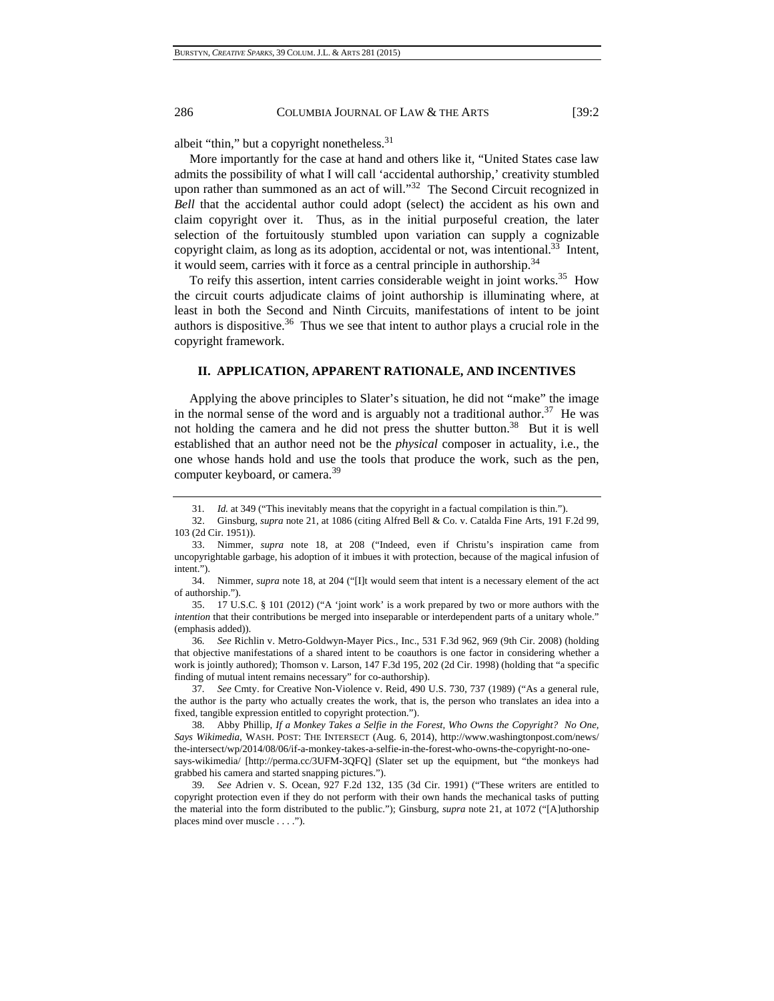albeit "thin," but a copyright nonetheless.<sup>31</sup>

More importantly for the case at hand and others like it, "United States case law admits the possibility of what I will call 'accidental authorship,' creativity stumbled upon rather than summoned as an act of will."<sup>32</sup> The Second Circuit recognized in *Bell* that the accidental author could adopt (select) the accident as his own and claim copyright over it. Thus, as in the initial purposeful creation, the later selection of the fortuitously stumbled upon variation can supply a cognizable copyright claim, as long as its adoption, accidental or not, was intentional.<sup>33</sup> Intent, it would seem, carries with it force as a central principle in authorship.<sup>34</sup>

To reify this assertion, intent carries considerable weight in joint works.<sup>35</sup> How the circuit courts adjudicate claims of joint authorship is illuminating where, at least in both the Second and Ninth Circuits, manifestations of intent to be joint authors is dispositive.<sup>36</sup> Thus we see that intent to author plays a crucial role in the copyright framework.

### **II. APPLICATION, APPARENT RATIONALE, AND INCENTIVES**

Applying the above principles to Slater's situation, he did not "make" the image in the normal sense of the word and is arguably not a traditional author.<sup>37</sup> He was not holding the camera and he did not press the shutter button.<sup>38</sup> But it is well established that an author need not be the *physical* composer in actuality, i.e., the one whose hands hold and use the tools that produce the work, such as the pen, computer keyboard, or camera.<sup>39</sup>

36*. See* Richlin v. Metro-Goldwyn-Mayer Pics., Inc., 531 F.3d 962, 969 (9th Cir. 2008) (holding that objective manifestations of a shared intent to be coauthors is one factor in considering whether a work is jointly authored); Thomson v. Larson, 147 F.3d 195, 202 (2d Cir. 1998) (holding that "a specific finding of mutual intent remains necessary" for co-authorship).

37*. See* Cmty. for Creative Non-Violence v. Reid, 490 U.S. 730, 737 (1989) ("As a general rule, the author is the party who actually creates the work, that is, the person who translates an idea into a fixed, tangible expression entitled to copyright protection.").

 38. Abby Phillip, *If a Monkey Takes a Selfie in the Forest, Who Owns the Copyright? No One, Says Wikimedia*, WASH. POST: THE INTERSECT (Aug. 6, 2014), http://www.washingtonpost.com/news/ the-intersect/wp/2014/08/06/if-a-monkey-takes-a-selfie-in-the-forest-who-owns-the-copyright-no-onesays-wikimedia/ [http://perma.cc/3UFM-3QFQ] (Slater set up the equipment, but "the monkeys had grabbed his camera and started snapping pictures.").

39*. See* Adrien v. S. Ocean, 927 F.2d 132, 135 (3d Cir. 1991) ("These writers are entitled to copyright protection even if they do not perform with their own hands the mechanical tasks of putting the material into the form distributed to the public."); Ginsburg, *supra* note 21, at 1072 ("[A]uthorship places mind over muscle . . . .").

<sup>31</sup>*. Id.* at 349 ("This inevitably means that the copyright in a factual compilation is thin.").

 <sup>32.</sup> Ginsburg, *supra* note 21, at 1086 (citing Alfred Bell & Co. v. Catalda Fine Arts, 191 F.2d 99, 103 (2d Cir. 1951)).

 <sup>33.</sup> Nimmer, *supra* note 18, at 208 ("Indeed, even if Christu's inspiration came from uncopyrightable garbage, his adoption of it imbues it with protection, because of the magical infusion of intent.").

 <sup>34.</sup> Nimmer*, supra* note 18, at 204 ("[I]t would seem that intent is a necessary element of the act of authorship.").

 <sup>35. 17</sup> U.S.C. § 101 (2012) ("A 'joint work' is a work prepared by two or more authors with the *intention* that their contributions be merged into inseparable or interdependent parts of a unitary whole." (emphasis added)).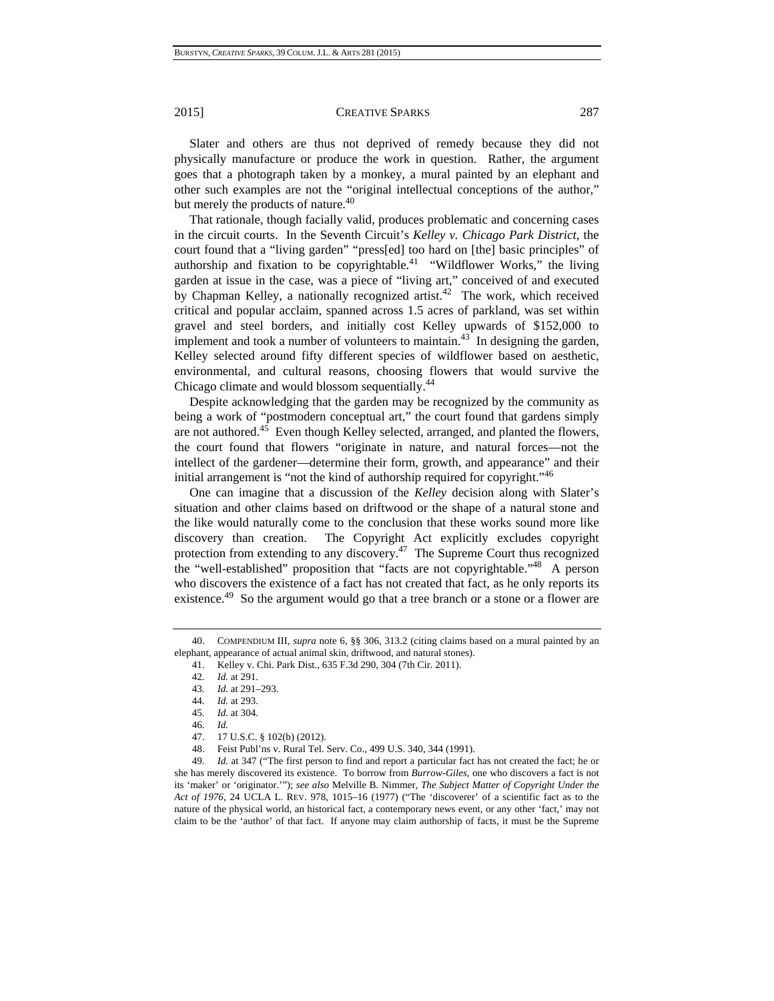Slater and others are thus not deprived of remedy because they did not physically manufacture or produce the work in question. Rather, the argument goes that a photograph taken by a monkey, a mural painted by an elephant and other such examples are not the "original intellectual conceptions of the author," but merely the products of nature.<sup>40</sup>

That rationale, though facially valid, produces problematic and concerning cases in the circuit courts. In the Seventh Circuit's *Kelley v. Chicago Park District*, the court found that a "living garden" "press[ed] too hard on [the] basic principles" of authorship and fixation to be copyrightable.<sup>41</sup> "Wildflower Works," the living garden at issue in the case, was a piece of "living art," conceived of and executed by Chapman Kelley, a nationally recognized artist.<sup>42</sup> The work, which received critical and popular acclaim, spanned across 1.5 acres of parkland, was set within gravel and steel borders, and initially cost Kelley upwards of \$152,000 to implement and took a number of volunteers to maintain. $43$  In designing the garden, Kelley selected around fifty different species of wildflower based on aesthetic, environmental, and cultural reasons, choosing flowers that would survive the Chicago climate and would blossom sequentially.<sup>44</sup>

Despite acknowledging that the garden may be recognized by the community as being a work of "postmodern conceptual art," the court found that gardens simply are not authored.45 Even though Kelley selected, arranged, and planted the flowers, the court found that flowers "originate in nature, and natural forces—not the intellect of the gardener—determine their form, growth, and appearance" and their initial arrangement is "not the kind of authorship required for copyright."<sup>46</sup>

One can imagine that a discussion of the *Kelley* decision along with Slater's situation and other claims based on driftwood or the shape of a natural stone and the like would naturally come to the conclusion that these works sound more like discovery than creation. The Copyright Act explicitly excludes copyright protection from extending to any discovery.<sup>47</sup> The Supreme Court thus recognized the "well-established" proposition that "facts are not copyrightable."48 A person who discovers the existence of a fact has not created that fact, as he only reports its existence.<sup>49</sup> So the argument would go that a tree branch or a stone or a flower are

49*. Id.* at 347 ("The first person to find and report a particular fact has not created the fact; he or she has merely discovered its existence. To borrow from *Burrow-Giles*, one who discovers a fact is not its 'maker' or 'originator.'"); *see also* Melville B. Nimmer, *The Subject Matter of Copyright Under the Act of 1976*, 24 UCLA L. REV. 978, 1015–16 (1977) ("The 'discoverer' of a scientific fact as to the nature of the physical world, an historical fact, a contemporary news event, or any other 'fact,' may not claim to be the 'author' of that fact. If anyone may claim authorship of facts, it must be the Supreme

 <sup>40.</sup> COMPENDIUM III, *supra* note 6, §§ 306, 313.2 (citing claims based on a mural painted by an elephant, appearance of actual animal skin, driftwood, and natural stones).

 <sup>41.</sup> Kelley v. Chi. Park Dist., 635 F.3d 290, 304 (7th Cir. 2011).

<sup>42</sup>*. Id.* at 291.

<sup>43</sup>*. Id.* at 291–293.

<sup>44</sup>*. Id.* at 293.

<sup>45</sup>*. Id.* at 304.

<sup>46</sup>*. Id.*

 <sup>47. 17</sup> U.S.C. § 102(b) (2012).

 <sup>48.</sup> Feist Publ'ns v. Rural Tel. Serv. Co., 499 U.S. 340, 344 (1991).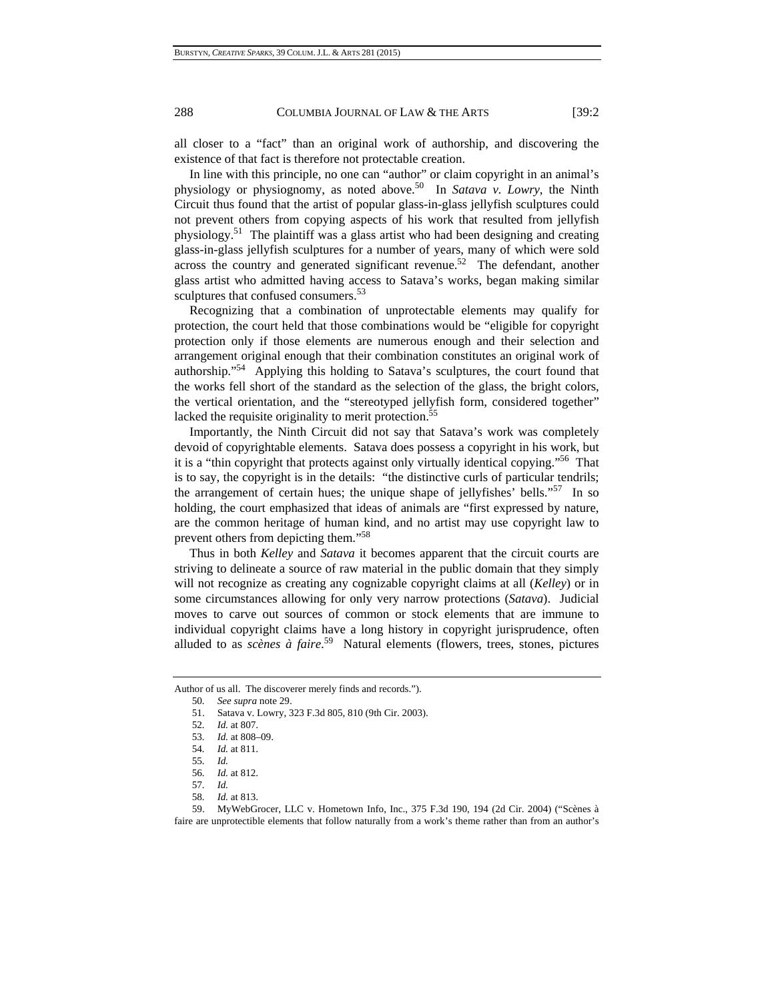all closer to a "fact" than an original work of authorship, and discovering the existence of that fact is therefore not protectable creation.

In line with this principle, no one can "author" or claim copyright in an animal's physiology or physiognomy, as noted above.50 In *Satava v. Lowry*, the Ninth Circuit thus found that the artist of popular glass-in-glass jellyfish sculptures could not prevent others from copying aspects of his work that resulted from jellyfish physiology.51 The plaintiff was a glass artist who had been designing and creating glass-in-glass jellyfish sculptures for a number of years, many of which were sold across the country and generated significant revenue.<sup>52</sup> The defendant, another glass artist who admitted having access to Satava's works, began making similar sculptures that confused consumers.<sup>53</sup>

Recognizing that a combination of unprotectable elements may qualify for protection, the court held that those combinations would be "eligible for copyright protection only if those elements are numerous enough and their selection and arrangement original enough that their combination constitutes an original work of authorship."54 Applying this holding to Satava's sculptures, the court found that the works fell short of the standard as the selection of the glass, the bright colors, the vertical orientation, and the "stereotyped jellyfish form, considered together" lacked the requisite originality to merit protection.<sup>55</sup>

Importantly, the Ninth Circuit did not say that Satava's work was completely devoid of copyrightable elements. Satava does possess a copyright in his work, but it is a "thin copyright that protects against only virtually identical copying."56 That is to say, the copyright is in the details: "the distinctive curls of particular tendrils; the arrangement of certain hues; the unique shape of jellyfishes' bells."<sup>57</sup> In so holding, the court emphasized that ideas of animals are "first expressed by nature, are the common heritage of human kind, and no artist may use copyright law to prevent others from depicting them."<sup>58</sup>

Thus in both *Kelley* and *Satava* it becomes apparent that the circuit courts are striving to delineate a source of raw material in the public domain that they simply will not recognize as creating any cognizable copyright claims at all (*Kelley*) or in some circumstances allowing for only very narrow protections (*Satava*). Judicial moves to carve out sources of common or stock elements that are immune to individual copyright claims have a long history in copyright jurisprudence, often alluded to as *scènes à faire*. 59 Natural elements (flowers, trees, stones, pictures

Author of us all. The discoverer merely finds and records.").

<sup>50</sup>*. See supra* note 29.

 <sup>51.</sup> Satava v. Lowry, 323 F.3d 805, 810 (9th Cir. 2003).

<sup>52</sup>*. Id.* at 807.

<sup>53</sup>*. Id.* at 808–09.

<sup>54</sup>*. Id.* at 811.

<sup>55</sup>*. Id.*

<sup>56</sup>*. Id.* at 812.

<sup>57</sup>*. Id.*

<sup>58</sup>*. Id.* at 813.

 <sup>59.</sup> MyWebGrocer, LLC v. Hometown Info, Inc., 375 F.3d 190, 194 (2d Cir. 2004) ("Scènes à faire are unprotectible elements that follow naturally from a work's theme rather than from an author's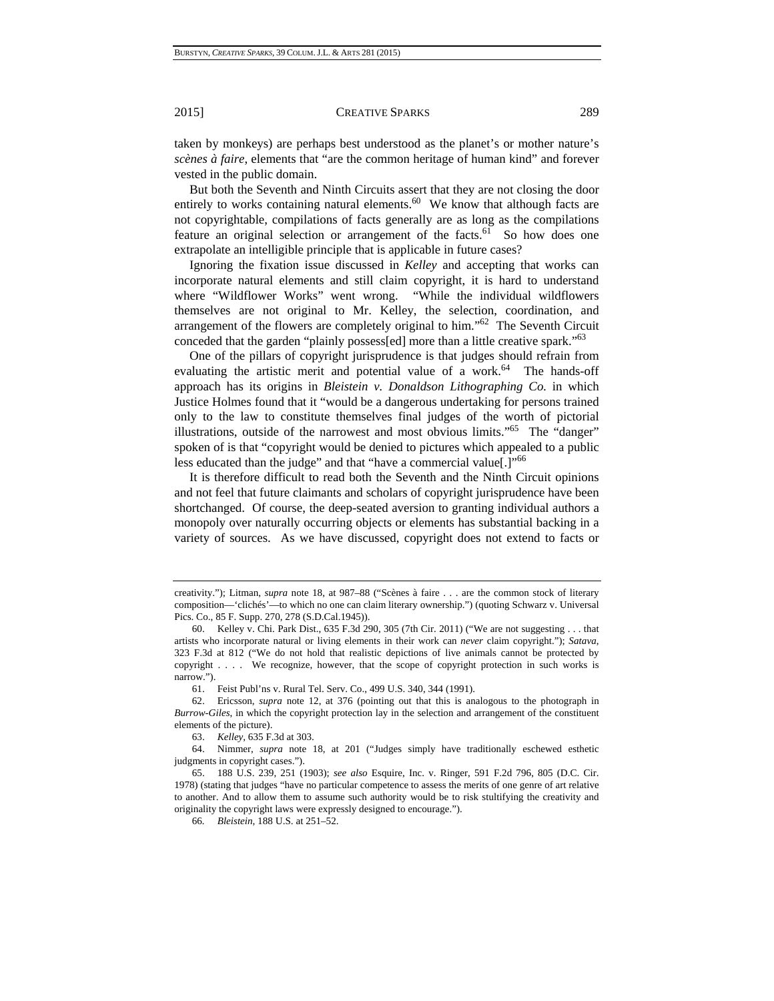taken by monkeys) are perhaps best understood as the planet's or mother nature's *scènes à faire*, elements that "are the common heritage of human kind" and forever vested in the public domain.

But both the Seventh and Ninth Circuits assert that they are not closing the door entirely to works containing natural elements. $60$  We know that although facts are not copyrightable, compilations of facts generally are as long as the compilations feature an original selection or arrangement of the facts.<sup>61</sup> So how does one extrapolate an intelligible principle that is applicable in future cases?

Ignoring the fixation issue discussed in *Kelley* and accepting that works can incorporate natural elements and still claim copyright, it is hard to understand where "Wildflower Works" went wrong. "While the individual wildflowers themselves are not original to Mr. Kelley, the selection, coordination, and arrangement of the flowers are completely original to him."<sup>62</sup> The Seventh Circuit conceded that the garden "plainly possess[ed] more than a little creative spark."63

One of the pillars of copyright jurisprudence is that judges should refrain from evaluating the artistic merit and potential value of a work.<sup>64</sup> The hands-off approach has its origins in *Bleistein v. Donaldson Lithographing Co.* in which Justice Holmes found that it "would be a dangerous undertaking for persons trained only to the law to constitute themselves final judges of the worth of pictorial illustrations, outside of the narrowest and most obvious limits."<sup>65</sup> The "danger" spoken of is that "copyright would be denied to pictures which appealed to a public less educated than the judge" and that "have a commercial value[.]"<sup>66</sup>

It is therefore difficult to read both the Seventh and the Ninth Circuit opinions and not feel that future claimants and scholars of copyright jurisprudence have been shortchanged. Of course, the deep-seated aversion to granting individual authors a monopoly over naturally occurring objects or elements has substantial backing in a variety of sources. As we have discussed, copyright does not extend to facts or

creativity."); Litman, *supra* note 18, at 987–88 ("Scènes à faire . . . are the common stock of literary composition—'clichés'—to which no one can claim literary ownership.") (quoting Schwarz v. Universal Pics. Co., 85 F. Supp. 270, 278 (S.D.Cal.1945)).

 <sup>60.</sup> Kelley v. Chi. Park Dist., 635 F.3d 290, 305 (7th Cir. 2011) ("We are not suggesting . . . that artists who incorporate natural or living elements in their work can *never* claim copyright."); *Satava*, 323 F.3d at 812 ("We do not hold that realistic depictions of live animals cannot be protected by copyright . . . . We recognize, however, that the scope of copyright protection in such works is narrow.").

 <sup>61.</sup> Feist Publ'ns v. Rural Tel. Serv. Co., 499 U.S. 340, 344 (1991).

 <sup>62.</sup> Ericsson, *supra* note 12, at 376 (pointing out that this is analogous to the photograph in *Burrow-Giles*, in which the copyright protection lay in the selection and arrangement of the constituent elements of the picture).

 <sup>63.</sup> *Kelley*, 635 F.3d at 303.

 <sup>64.</sup> Nimmer, *supra* note 18, at 201 ("Judges simply have traditionally eschewed esthetic judgments in copyright cases.").

 <sup>65. 188</sup> U.S. 239, 251 (1903); *see also* Esquire, Inc. v. Ringer, 591 F.2d 796, 805 (D.C. Cir. 1978) (stating that judges "have no particular competence to assess the merits of one genre of art relative to another. And to allow them to assume such authority would be to risk stultifying the creativity and originality the copyright laws were expressly designed to encourage.").

<sup>66</sup>*. Bleistein*, 188 U.S. at 251–52.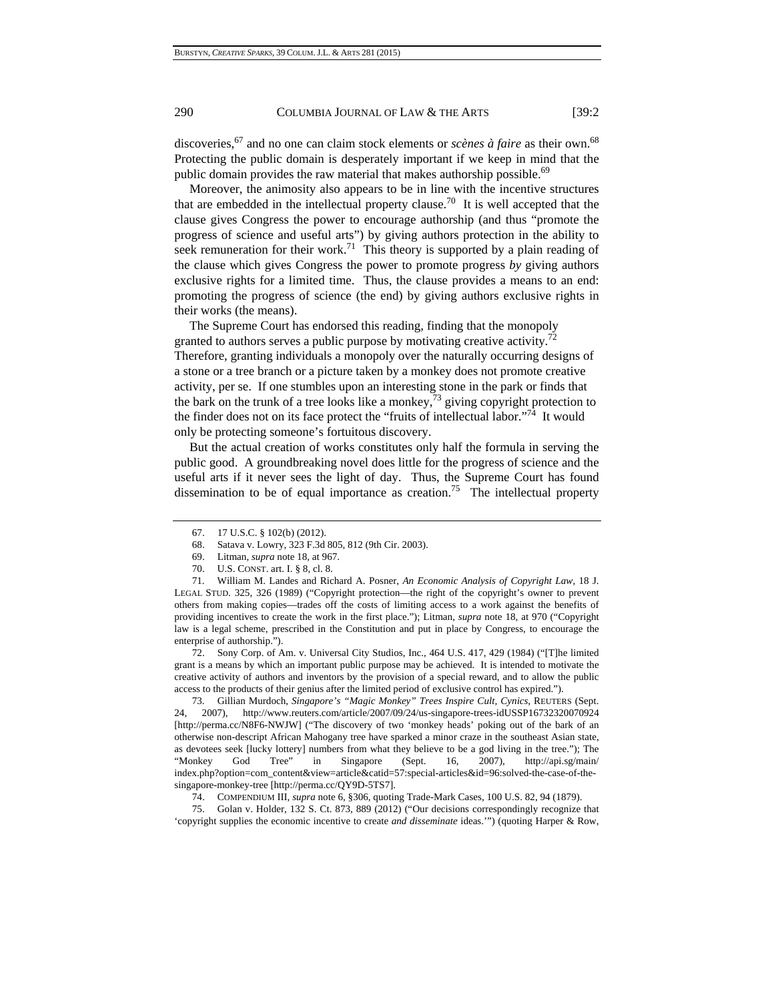discoveries,67 and no one can claim stock elements or *scènes à faire* as their own.68 Protecting the public domain is desperately important if we keep in mind that the public domain provides the raw material that makes authorship possible.<sup>69</sup>

Moreover, the animosity also appears to be in line with the incentive structures that are embedded in the intellectual property clause.<sup>70</sup> It is well accepted that the clause gives Congress the power to encourage authorship (and thus "promote the progress of science and useful arts") by giving authors protection in the ability to seek remuneration for their work.<sup>71</sup> This theory is supported by a plain reading of the clause which gives Congress the power to promote progress *by* giving authors exclusive rights for a limited time. Thus, the clause provides a means to an end: promoting the progress of science (the end) by giving authors exclusive rights in their works (the means).

 The Supreme Court has endorsed this reading, finding that the monopoly granted to authors serves a public purpose by motivating creative activity.<sup>72</sup> Therefore, granting individuals a monopoly over the naturally occurring designs of a stone or a tree branch or a picture taken by a monkey does not promote creative activity, per se. If one stumbles upon an interesting stone in the park or finds that the bark on the trunk of a tree looks like a monkey,<sup>73</sup> giving copyright protection to the finder does not on its face protect the "fruits of intellectual labor."74 It would only be protecting someone's fortuitous discovery.

 But the actual creation of works constitutes only half the formula in serving the public good. A groundbreaking novel does little for the progress of science and the useful arts if it never sees the light of day. Thus, the Supreme Court has found dissemination to be of equal importance as creation.<sup>75</sup> The intellectual property

 72. Sony Corp. of Am. v. Universal City Studios, Inc., 464 U.S. 417, 429 (1984) ("[T]he limited grant is a means by which an important public purpose may be achieved. It is intended to motivate the creative activity of authors and inventors by the provision of a special reward, and to allow the public access to the products of their genius after the limited period of exclusive control has expired.").

 73. Gillian Murdoch, *Singapore's "Magic Monkey" Trees Inspire Cult, Cynics*, REUTERS (Sept. 24, 2007), http://www.reuters.com/article/2007/09/24/us-singapore-trees-idUSSP16732320070924 [http://perma.cc/N8F6-NWJW] ("The discovery of two 'monkey heads' poking out of the bark of an otherwise non-descript African Mahogany tree have sparked a minor craze in the southeast Asian state, as devotees seek [lucky lottery] numbers from what they believe to be a god living in the tree."); The "Monkey God Tree" in Singapore (Sept. 16, 2007), http://api.sg/main/ index.php?option=com\_content&view=article&catid=57:special-articles&id=96:solved-the-case-of-thesingapore-monkey-tree [http://perma.cc/QY9D-5TS7].

 75. Golan v. Holder, 132 S. Ct. 873, 889 (2012) ("Our decisions correspondingly recognize that 'copyright supplies the economic incentive to create *and disseminate* ideas.'") (quoting Harper & Row,

 <sup>67. 17</sup> U.S.C. § 102(b) (2012).

 <sup>68.</sup> Satava v. Lowry, 323 F.3d 805, 812 (9th Cir. 2003).

 <sup>69.</sup> Litman, *supra* note 18, at 967.

 <sup>70.</sup> U.S. CONST. art. I. § 8, cl. 8.

 <sup>71.</sup> William M. Landes and Richard A. Posner, *An Economic Analysis of Copyright Law*, 18 J. LEGAL STUD. 325, 326 (1989) ("Copyright protection—the right of the copyright's owner to prevent others from making copies—trades off the costs of limiting access to a work against the benefits of providing incentives to create the work in the first place."); Litman, *supra* note 18, at 970 ("Copyright law is a legal scheme, prescribed in the Constitution and put in place by Congress, to encourage the enterprise of authorship.").

 <sup>74.</sup> COMPENDIUM III, *supra* note 6, §306, quoting Trade-Mark Cases, 100 U.S. 82, 94 (1879).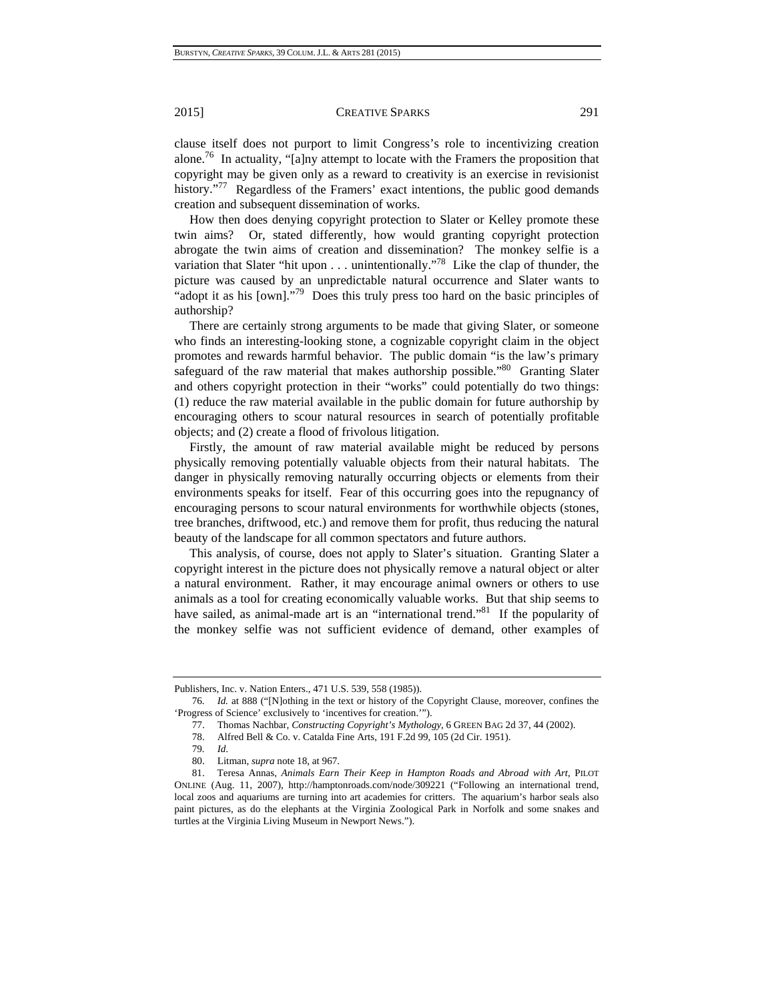clause itself does not purport to limit Congress's role to incentivizing creation alone.76 In actuality, "[a]ny attempt to locate with the Framers the proposition that copyright may be given only as a reward to creativity is an exercise in revisionist history."<sup>77</sup> Regardless of the Framers' exact intentions, the public good demands creation and subsequent dissemination of works.

How then does denying copyright protection to Slater or Kelley promote these twin aims? Or, stated differently, how would granting copyright protection abrogate the twin aims of creation and dissemination? The monkey selfie is a variation that Slater "hit upon  $\dots$  unintentionally."<sup>78</sup> Like the clap of thunder, the picture was caused by an unpredictable natural occurrence and Slater wants to "adopt it as his [own]."<sup>79</sup> Does this truly press too hard on the basic principles of authorship?

There are certainly strong arguments to be made that giving Slater, or someone who finds an interesting-looking stone, a cognizable copyright claim in the object promotes and rewards harmful behavior. The public domain "is the law's primary safeguard of the raw material that makes authorship possible."80 Granting Slater and others copyright protection in their "works" could potentially do two things: (1) reduce the raw material available in the public domain for future authorship by encouraging others to scour natural resources in search of potentially profitable objects; and (2) create a flood of frivolous litigation.

Firstly, the amount of raw material available might be reduced by persons physically removing potentially valuable objects from their natural habitats. The danger in physically removing naturally occurring objects or elements from their environments speaks for itself. Fear of this occurring goes into the repugnancy of encouraging persons to scour natural environments for worthwhile objects (stones, tree branches, driftwood, etc.) and remove them for profit, thus reducing the natural beauty of the landscape for all common spectators and future authors.

This analysis, of course, does not apply to Slater's situation. Granting Slater a copyright interest in the picture does not physically remove a natural object or alter a natural environment. Rather, it may encourage animal owners or others to use animals as a tool for creating economically valuable works. But that ship seems to have sailed, as animal-made art is an "international trend."<sup>81</sup> If the popularity of the monkey selfie was not sufficient evidence of demand, other examples of

Publishers, Inc. v. Nation Enters., 471 U.S. 539, 558 (1985)).

<sup>76</sup>*. Id.* at 888 ("[N]othing in the text or history of the Copyright Clause, moreover, confines the 'Progress of Science' exclusively to 'incentives for creation.'").

 <sup>77.</sup> Thomas Nachbar, *Constructing Copyright's Mythology*, 6 GREEN BAG 2d 37, 44 (2002).

 <sup>78.</sup> Alfred Bell & Co. v. Catalda Fine Arts, 191 F.2d 99, 105 (2d Cir. 1951).

<sup>79</sup>*. Id*.

 <sup>80.</sup> Litman, *supra* note 18, at 967.

 <sup>81.</sup> Teresa Annas, *Animals Earn Their Keep in Hampton Roads and Abroad with Art*, PILOT ONLINE (Aug. 11, 2007), http://hamptonroads.com/node/309221 ("Following an international trend, local zoos and aquariums are turning into art academies for critters. The aquarium's harbor seals also paint pictures, as do the elephants at the Virginia Zoological Park in Norfolk and some snakes and turtles at the Virginia Living Museum in Newport News.").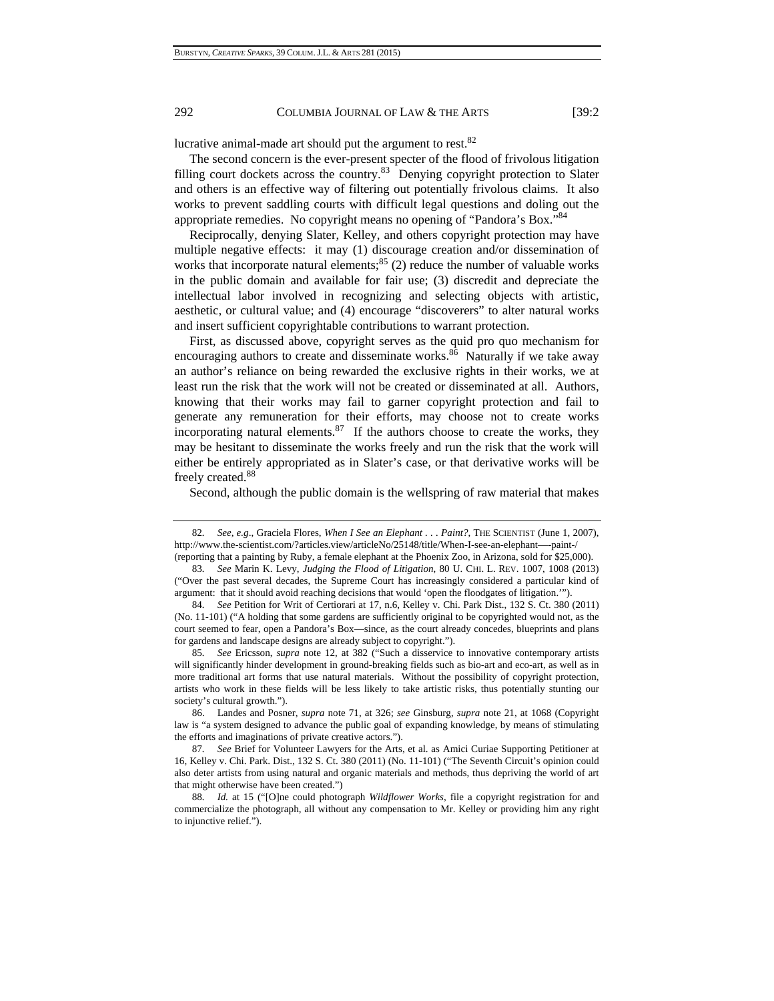lucrative animal-made art should put the argument to rest.82

The second concern is the ever-present specter of the flood of frivolous litigation filling court dockets across the country. $83$  Denying copyright protection to Slater and others is an effective way of filtering out potentially frivolous claims. It also works to prevent saddling courts with difficult legal questions and doling out the appropriate remedies. No copyright means no opening of "Pandora's Box."84

Reciprocally, denying Slater, Kelley, and others copyright protection may have multiple negative effects: it may (1) discourage creation and/or dissemination of works that incorporate natural elements; $85$  (2) reduce the number of valuable works in the public domain and available for fair use; (3) discredit and depreciate the intellectual labor involved in recognizing and selecting objects with artistic, aesthetic, or cultural value; and (4) encourage "discoverers" to alter natural works and insert sufficient copyrightable contributions to warrant protection.

First, as discussed above, copyright serves as the quid pro quo mechanism for encouraging authors to create and disseminate works.<sup>86</sup> Naturally if we take away an author's reliance on being rewarded the exclusive rights in their works, we at least run the risk that the work will not be created or disseminated at all. Authors, knowing that their works may fail to garner copyright protection and fail to generate any remuneration for their efforts, may choose not to create works incorporating natural elements. $87$  If the authors choose to create the works, they may be hesitant to disseminate the works freely and run the risk that the work will either be entirely appropriated as in Slater's case, or that derivative works will be freely created.<sup>88</sup>

Second, although the public domain is the wellspring of raw material that makes

<sup>82</sup>*. See, e.g*., Graciela Flores, *When I See an Elephant . . . Paint?*, THE SCIENTIST (June 1, 2007), http://www.the-scientist.com/?articles.view/articleNo/25148/title/When-I-see-an-elephant—-paint-/ (reporting that a painting by Ruby, a female elephant at the Phoenix Zoo, in Arizona, sold for \$25,000).

<sup>83</sup>*. See* Marin K. Levy, *Judging the Flood of Litigation*, 80 U. CHI. L. REV. 1007, 1008 (2013) ("Over the past several decades, the Supreme Court has increasingly considered a particular kind of argument: that it should avoid reaching decisions that would 'open the floodgates of litigation.'").

<sup>84</sup>*. See* Petition for Writ of Certiorari at 17, n.6, Kelley v. Chi. Park Dist., 132 S. Ct. 380 (2011) (No. 11-101) ("A holding that some gardens are sufficiently original to be copyrighted would not, as the court seemed to fear, open a Pandora's Box—since, as the court already concedes, blueprints and plans for gardens and landscape designs are already subject to copyright.").

<sup>85</sup>*. See* Ericsson, *supra* note 12, at 382 ("Such a disservice to innovative contemporary artists will significantly hinder development in ground-breaking fields such as bio-art and eco-art, as well as in more traditional art forms that use natural materials. Without the possibility of copyright protection, artists who work in these fields will be less likely to take artistic risks, thus potentially stunting our society's cultural growth.").

 <sup>86.</sup> Landes and Posner, *supra* note 71, at 326; *see* Ginsburg, *supra* note 21, at 1068 (Copyright law is "a system designed to advance the public goal of expanding knowledge, by means of stimulating the efforts and imaginations of private creative actors.").

<sup>87</sup>*. See* Brief for Volunteer Lawyers for the Arts, et al. as Amici Curiae Supporting Petitioner at 16, Kelley v. Chi. Park. Dist., 132 S. Ct. 380 (2011) (No. 11-101) ("The Seventh Circuit's opinion could also deter artists from using natural and organic materials and methods, thus depriving the world of art that might otherwise have been created.")

<sup>88</sup>*. Id.* at 15 ("[O]ne could photograph *Wildflower Works*, file a copyright registration for and commercialize the photograph, all without any compensation to Mr. Kelley or providing him any right to injunctive relief.").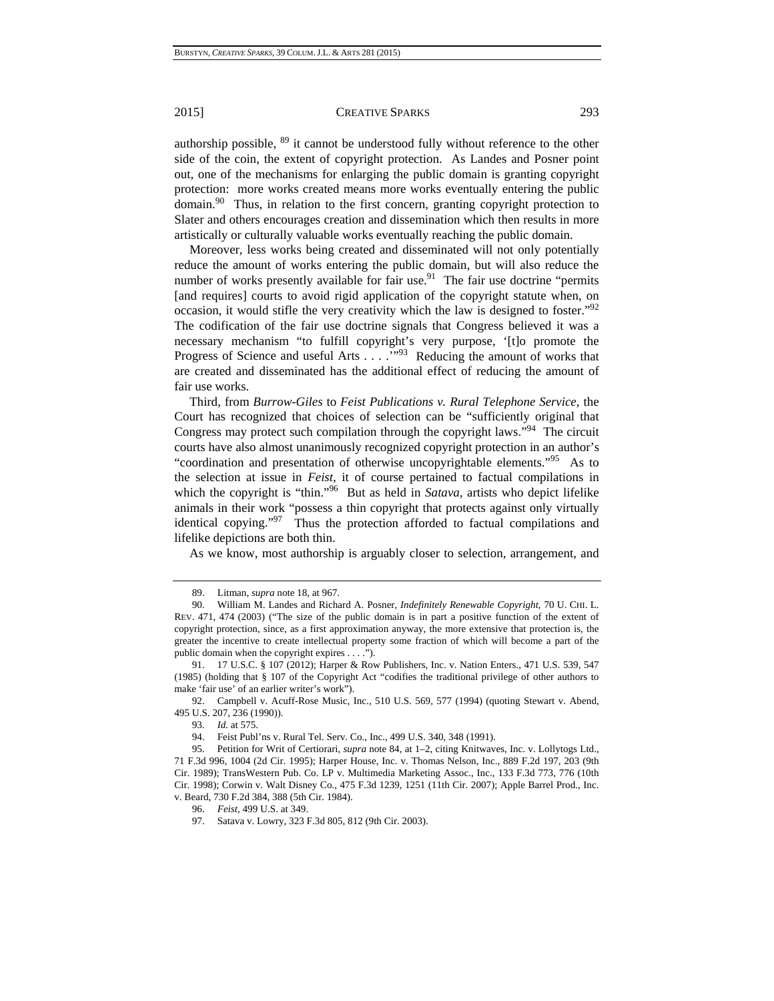authorship possible, 89 it cannot be understood fully without reference to the other side of the coin, the extent of copyright protection. As Landes and Posner point out, one of the mechanisms for enlarging the public domain is granting copyright protection: more works created means more works eventually entering the public domain.<sup>90</sup> Thus, in relation to the first concern, granting copyright protection to Slater and others encourages creation and dissemination which then results in more artistically or culturally valuable works eventually reaching the public domain.

Moreover, less works being created and disseminated will not only potentially reduce the amount of works entering the public domain, but will also reduce the number of works presently available for fair use.<sup>91</sup> The fair use doctrine "permits [and requires] courts to avoid rigid application of the copyright statute when, on occasion, it would stifle the very creativity which the law is designed to foster."92 The codification of the fair use doctrine signals that Congress believed it was a necessary mechanism "to fulfill copyright's very purpose, '[t]o promote the Progress of Science and useful Arts  $\dots$  ..."<sup>93</sup> Reducing the amount of works that are created and disseminated has the additional effect of reducing the amount of fair use works.

Third, from *Burrow-Giles* to *Feist Publications v. Rural Telephone Service*, the Court has recognized that choices of selection can be "sufficiently original that Congress may protect such compilation through the copyright laws."94 The circuit courts have also almost unanimously recognized copyright protection in an author's "coordination and presentation of otherwise uncopyrightable elements."<sup>95</sup> As to the selection at issue in *Feist*, it of course pertained to factual compilations in which the copyright is "thin."<sup>96</sup> But as held in *Satava*, artists who depict lifelike animals in their work "possess a thin copyright that protects against only virtually identical copying."97 Thus the protection afforded to factual compilations and lifelike depictions are both thin.

As we know, most authorship is arguably closer to selection, arrangement, and

 <sup>89.</sup> Litman, *supra* note 18, at 967.

 <sup>90.</sup> William M. Landes and Richard A. Posner, *Indefinitely Renewable Copyright*, 70 U. CHI. L. REV. 471, 474 (2003) ("The size of the public domain is in part a positive function of the extent of copyright protection, since, as a first approximation anyway, the more extensive that protection is, the greater the incentive to create intellectual property some fraction of which will become a part of the public domain when the copyright expires . . . .").

 <sup>91. 17</sup> U.S.C. § 107 (2012); Harper & Row Publishers, Inc. v. Nation Enters., 471 U.S. 539, 547 (1985) (holding that § 107 of the Copyright Act "codifies the traditional privilege of other authors to make 'fair use' of an earlier writer's work").

 <sup>92.</sup> Campbell v. Acuff-Rose Music, Inc., 510 U.S. 569, 577 (1994) (quoting Stewart v. Abend, 495 U.S. 207, 236 (1990)).

<sup>93</sup>*. Id.* at 575.

 <sup>94.</sup> Feist Publ'ns v. Rural Tel. Serv. Co., Inc., 499 U.S. 340, 348 (1991).

 <sup>95.</sup> Petition for Writ of Certiorari, *supra* note 84, at 1–2, citing Knitwaves, Inc. v. Lollytogs Ltd., 71 F.3d 996, 1004 (2d Cir. 1995); Harper House, Inc. v. Thomas Nelson, Inc., 889 F.2d 197, 203 (9th Cir. 1989); TransWestern Pub. Co. LP v. Multimedia Marketing Assoc., Inc., 133 F.3d 773, 776 (10th Cir. 1998); Corwin v. Walt Disney Co., 475 F.3d 1239, 1251 (11th Cir. 2007); Apple Barrel Prod., Inc. v. Beard, 730 F.2d 384, 388 (5th Cir. 1984).

 <sup>96.</sup> *Feist*, 499 U.S. at 349.

 <sup>97.</sup> Satava v. Lowry, 323 F.3d 805, 812 (9th Cir. 2003).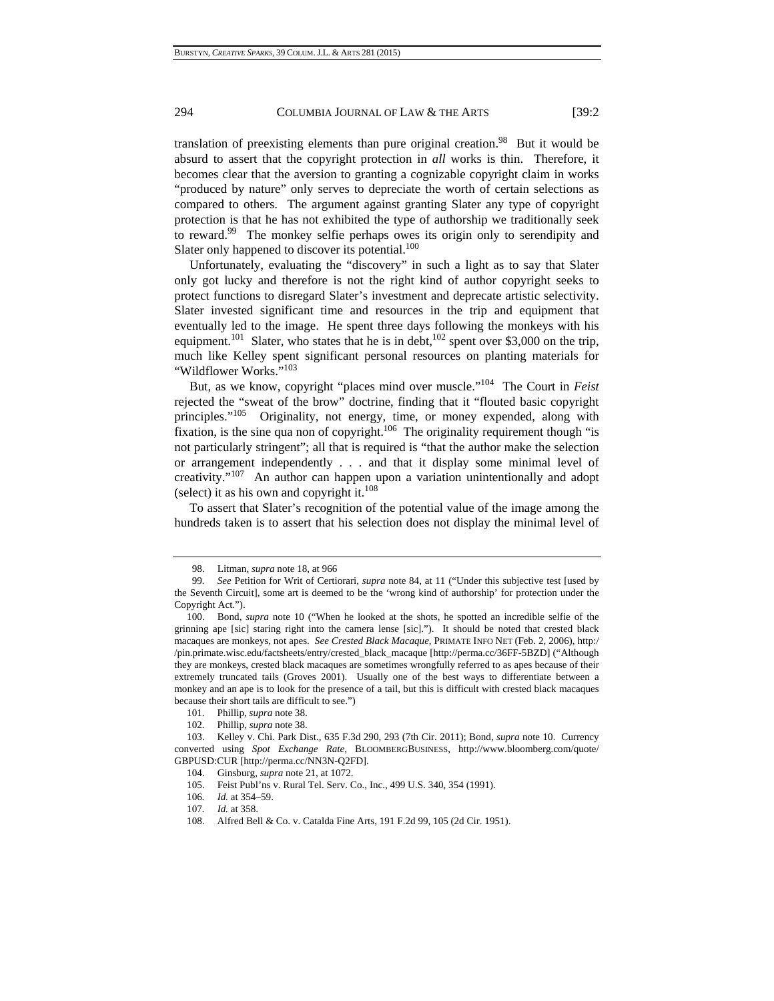translation of preexisting elements than pure original creation.<sup>98</sup> But it would be absurd to assert that the copyright protection in *all* works is thin. Therefore, it becomes clear that the aversion to granting a cognizable copyright claim in works "produced by nature" only serves to depreciate the worth of certain selections as compared to others. The argument against granting Slater any type of copyright protection is that he has not exhibited the type of authorship we traditionally seek to reward.<sup>99</sup> The monkey selfie perhaps owes its origin only to serendipity and Slater only happened to discover its potential. $100$ 

Unfortunately, evaluating the "discovery" in such a light as to say that Slater only got lucky and therefore is not the right kind of author copyright seeks to protect functions to disregard Slater's investment and deprecate artistic selectivity. Slater invested significant time and resources in the trip and equipment that eventually led to the image. He spent three days following the monkeys with his equipment.<sup>101</sup> Slater, who states that he is in debt,<sup>102</sup> spent over \$3,000 on the trip, much like Kelley spent significant personal resources on planting materials for "Wildflower Works."103

But, as we know, copyright "places mind over muscle."104 The Court in *Feist* rejected the "sweat of the brow" doctrine, finding that it "flouted basic copyright principles."<sup>105</sup> Originality, not energy, time, or money expended, along with fixation, is the sine qua non of copyright.<sup>106</sup> The originality requirement though "is not particularly stringent"; all that is required is "that the author make the selection or arrangement independently . . . and that it display some minimal level of creativity."<sup>107</sup> An author can happen upon a variation unintentionally and adopt (select) it as his own and copyright it. $108$ 

To assert that Slater's recognition of the potential value of the image among the hundreds taken is to assert that his selection does not display the minimal level of

 <sup>98.</sup> Litman, *supra* note 18, at 966

<sup>99</sup>*. See* Petition for Writ of Certiorari, *supra* note 84, at 11 ("Under this subjective test [used by the Seventh Circuit], some art is deemed to be the 'wrong kind of authorship' for protection under the Copyright Act.").

 <sup>100.</sup> Bond, *supra* note 10 ("When he looked at the shots, he spotted an incredible selfie of the grinning ape [sic] staring right into the camera lense [sic]."). It should be noted that crested black macaques are monkeys, not apes. *See Crested Black Macaque*, PRIMATE INFO NET (Feb. 2, 2006), http:/ /pin.primate.wisc.edu/factsheets/entry/crested\_black\_macaque [http://perma.cc/36FF-5BZD] ("Although they are monkeys, crested black macaques are sometimes wrongfully referred to as apes because of their extremely truncated tails (Groves 2001). Usually one of the best ways to differentiate between a monkey and an ape is to look for the presence of a tail, but this is difficult with crested black macaques because their short tails are difficult to see.")

 <sup>101.</sup> Phillip, *supra* note 38.

 <sup>102.</sup> Phillip, *supra* note 38.

 <sup>103.</sup> Kelley v. Chi. Park Dist., 635 F.3d 290, 293 (7th Cir. 2011); Bond, *supra* note 10. Currency converted using *Spot Exchange Rate,* BLOOMBERGBUSINESS, http://www.bloomberg.com/quote/ GBPUSD:CUR [http://perma.cc/NN3N-Q2FD].

 <sup>104.</sup> Ginsburg*, supra* note 21, at 1072.

 <sup>105.</sup> Feist Publ'ns v. Rural Tel. Serv. Co., Inc., 499 U.S. 340, 354 (1991).

<sup>106</sup>*. Id.* at 354–59.

<sup>107</sup>*. Id.* at 358.

 <sup>108.</sup> Alfred Bell & Co. v. Catalda Fine Arts, 191 F.2d 99, 105 (2d Cir. 1951).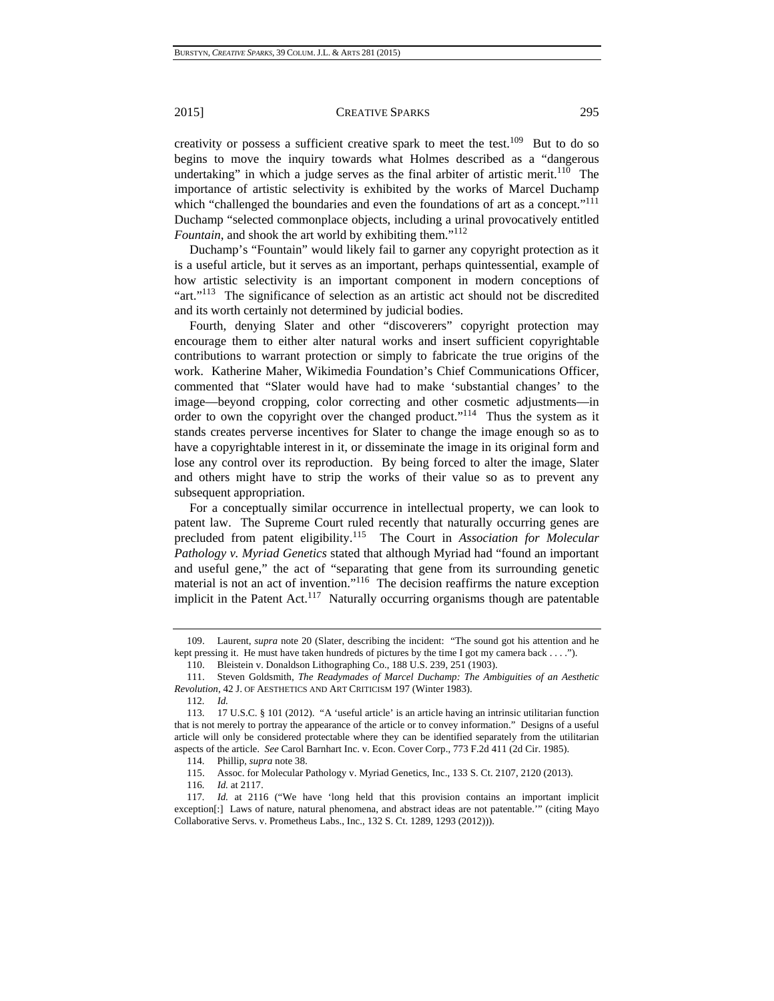creativity or possess a sufficient creative spark to meet the test.<sup>109</sup> But to do so begins to move the inquiry towards what Holmes described as a "dangerous undertaking" in which a judge serves as the final arbiter of artistic merit.<sup>110</sup> The importance of artistic selectivity is exhibited by the works of Marcel Duchamp which "challenged the boundaries and even the foundations of art as a concept."<sup>111</sup> Duchamp "selected commonplace objects, including a urinal provocatively entitled *Fountain*, and shook the art world by exhibiting them."<sup>112</sup>

Duchamp's "Fountain" would likely fail to garner any copyright protection as it is a useful article, but it serves as an important, perhaps quintessential, example of how artistic selectivity is an important component in modern conceptions of "art."<sup>113</sup> The significance of selection as an artistic act should not be discredited and its worth certainly not determined by judicial bodies.

Fourth, denying Slater and other "discoverers" copyright protection may encourage them to either alter natural works and insert sufficient copyrightable contributions to warrant protection or simply to fabricate the true origins of the work. Katherine Maher, Wikimedia Foundation's Chief Communications Officer, commented that "Slater would have had to make 'substantial changes' to the image—beyond cropping, color correcting and other cosmetic adjustments—in order to own the copyright over the changed product."<sup>114</sup> Thus the system as it stands creates perverse incentives for Slater to change the image enough so as to have a copyrightable interest in it, or disseminate the image in its original form and lose any control over its reproduction. By being forced to alter the image, Slater and others might have to strip the works of their value so as to prevent any subsequent appropriation.

For a conceptually similar occurrence in intellectual property, we can look to patent law. The Supreme Court ruled recently that naturally occurring genes are precluded from patent eligibility.<sup>115</sup> The Court in *Association for Molecular Pathology v. Myriad Genetics* stated that although Myriad had "found an important and useful gene," the act of "separating that gene from its surrounding genetic material is not an act of invention."116 The decision reaffirms the nature exception implicit in the Patent Act.<sup>117</sup> Naturally occurring organisms though are patentable

 <sup>109.</sup> Laurent, *supra* note 20 (Slater, describing the incident: "The sound got his attention and he kept pressing it. He must have taken hundreds of pictures by the time I got my camera back . . . .").

 <sup>110.</sup> Bleistein v. Donaldson Lithographing Co., 188 U.S. 239, 251 (1903).

 <sup>111.</sup> Steven Goldsmith, *The Readymades of Marcel Duchamp: The Ambiguities of an Aesthetic Revolution*, 42 J. OF AESTHETICS AND ART CRITICISM 197 (Winter 1983).

<sup>112</sup>*. Id.*

 <sup>113. 17</sup> U.S.C. § 101 (2012). "A 'useful article' is an article having an intrinsic utilitarian function that is not merely to portray the appearance of the article or to convey information." Designs of a useful article will only be considered protectable where they can be identified separately from the utilitarian aspects of the article. *See* Carol Barnhart Inc. v. Econ. Cover Corp., 773 F.2d 411 (2d Cir. 1985). 114. Phillip, *supra* note 38.

 <sup>115.</sup> Assoc. for Molecular Pathology v. Myriad Genetics, Inc., 133 S. Ct. 2107, 2120 (2013).

<sup>116</sup>*. Id.* at 2117.

<sup>117</sup>*. Id.* at 2116 ("We have 'long held that this provision contains an important implicit exception[:] Laws of nature, natural phenomena, and abstract ideas are not patentable.'" (citing Mayo Collaborative Servs. v. Prometheus Labs., Inc., 132 S. Ct. 1289, 1293 (2012))).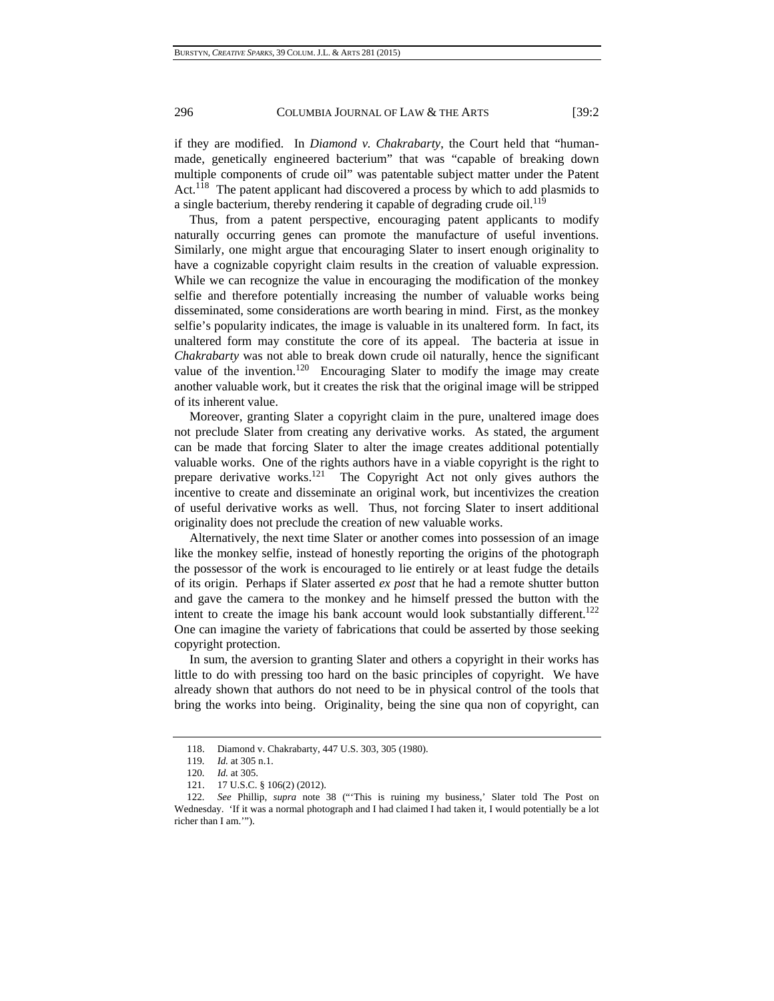if they are modified. In *Diamond v. Chakrabarty*, the Court held that "humanmade, genetically engineered bacterium" that was "capable of breaking down multiple components of crude oil" was patentable subject matter under the Patent Act.<sup>118</sup> The patent applicant had discovered a process by which to add plasmids to a single bacterium, thereby rendering it capable of degrading crude  $\delta$ <sup>119</sup>

Thus, from a patent perspective, encouraging patent applicants to modify naturally occurring genes can promote the manufacture of useful inventions. Similarly, one might argue that encouraging Slater to insert enough originality to have a cognizable copyright claim results in the creation of valuable expression. While we can recognize the value in encouraging the modification of the monkey selfie and therefore potentially increasing the number of valuable works being disseminated, some considerations are worth bearing in mind. First, as the monkey selfie's popularity indicates, the image is valuable in its unaltered form. In fact, its unaltered form may constitute the core of its appeal. The bacteria at issue in *Chakrabarty* was not able to break down crude oil naturally, hence the significant value of the invention.<sup>120</sup> Encouraging Slater to modify the image may create another valuable work, but it creates the risk that the original image will be stripped of its inherent value.

Moreover, granting Slater a copyright claim in the pure, unaltered image does not preclude Slater from creating any derivative works. As stated, the argument can be made that forcing Slater to alter the image creates additional potentially valuable works. One of the rights authors have in a viable copyright is the right to prepare derivative works. $121$  The Copyright Act not only gives authors the incentive to create and disseminate an original work, but incentivizes the creation of useful derivative works as well. Thus, not forcing Slater to insert additional originality does not preclude the creation of new valuable works.

Alternatively, the next time Slater or another comes into possession of an image like the monkey selfie, instead of honestly reporting the origins of the photograph the possessor of the work is encouraged to lie entirely or at least fudge the details of its origin. Perhaps if Slater asserted *ex post* that he had a remote shutter button and gave the camera to the monkey and he himself pressed the button with the intent to create the image his bank account would look substantially different.<sup>122</sup> One can imagine the variety of fabrications that could be asserted by those seeking copyright protection.

In sum, the aversion to granting Slater and others a copyright in their works has little to do with pressing too hard on the basic principles of copyright. We have already shown that authors do not need to be in physical control of the tools that bring the works into being. Originality, being the sine qua non of copyright, can

 <sup>118.</sup> Diamond v. Chakrabarty, 447 U.S. 303, 305 (1980).

<sup>119</sup>*. Id.* at 305 n.1.

<sup>120</sup>*. Id.* at 305.

 <sup>121. 17</sup> U.S.C. § 106(2) (2012).

<sup>122</sup>*. See* Phillip, *supra* note 38 ("'This is ruining my business,' Slater told The Post on Wednesday. 'If it was a normal photograph and I had claimed I had taken it, I would potentially be a lot richer than I am.'").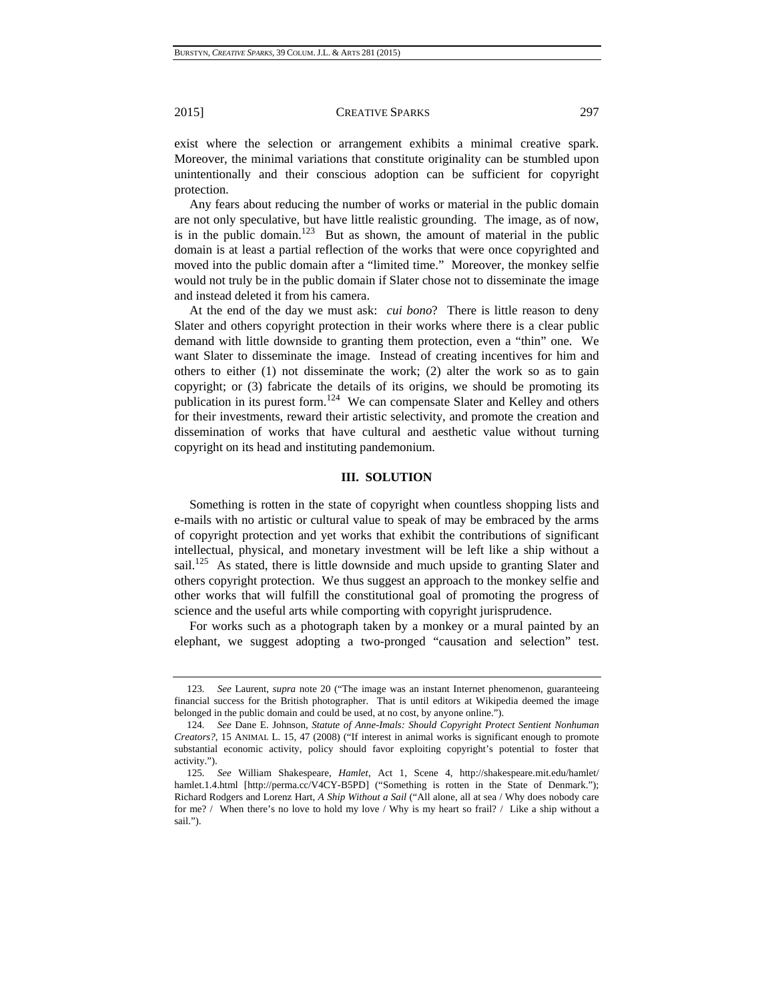exist where the selection or arrangement exhibits a minimal creative spark. Moreover, the minimal variations that constitute originality can be stumbled upon unintentionally and their conscious adoption can be sufficient for copyright protection.

Any fears about reducing the number of works or material in the public domain are not only speculative, but have little realistic grounding. The image, as of now, is in the public domain.<sup>123</sup> But as shown, the amount of material in the public domain is at least a partial reflection of the works that were once copyrighted and moved into the public domain after a "limited time." Moreover, the monkey selfie would not truly be in the public domain if Slater chose not to disseminate the image and instead deleted it from his camera.

At the end of the day we must ask: *cui bono*? There is little reason to deny Slater and others copyright protection in their works where there is a clear public demand with little downside to granting them protection, even a "thin" one. We want Slater to disseminate the image. Instead of creating incentives for him and others to either (1) not disseminate the work; (2) alter the work so as to gain copyright; or (3) fabricate the details of its origins, we should be promoting its publication in its purest form.<sup>124</sup> We can compensate Slater and Kelley and others for their investments, reward their artistic selectivity, and promote the creation and dissemination of works that have cultural and aesthetic value without turning copyright on its head and instituting pandemonium.

### **III. SOLUTION**

Something is rotten in the state of copyright when countless shopping lists and e-mails with no artistic or cultural value to speak of may be embraced by the arms of copyright protection and yet works that exhibit the contributions of significant intellectual, physical, and monetary investment will be left like a ship without a sail.<sup>125</sup> As stated, there is little downside and much upside to granting Slater and others copyright protection. We thus suggest an approach to the monkey selfie and other works that will fulfill the constitutional goal of promoting the progress of science and the useful arts while comporting with copyright jurisprudence.

For works such as a photograph taken by a monkey or a mural painted by an elephant, we suggest adopting a two-pronged "causation and selection" test.

<sup>123</sup>*. See* Laurent, *supra* note 20 ("The image was an instant Internet phenomenon, guaranteeing financial success for the British photographer. That is until editors at Wikipedia deemed the image belonged in the public domain and could be used, at no cost, by anyone online.").

<sup>124</sup>*. See* Dane E. Johnson, *Statute of Anne-Imals: Should Copyright Protect Sentient Nonhuman Creators?*, 15 ANIMAL L. 15, 47 (2008) ("If interest in animal works is significant enough to promote substantial economic activity, policy should favor exploiting copyright's potential to foster that activity.").

<sup>125</sup>*. See* William Shakespeare, *Hamlet*, Act 1, Scene 4, http://shakespeare.mit.edu/hamlet/ hamlet.1.4.html [http://perma.cc/V4CY-B5PD] ("Something is rotten in the State of Denmark."); Richard Rodgers and Lorenz Hart, *A Ship Without a Sail* ("All alone, all at sea / Why does nobody care for me? / When there's no love to hold my love / Why is my heart so frail? / Like a ship without a sail.").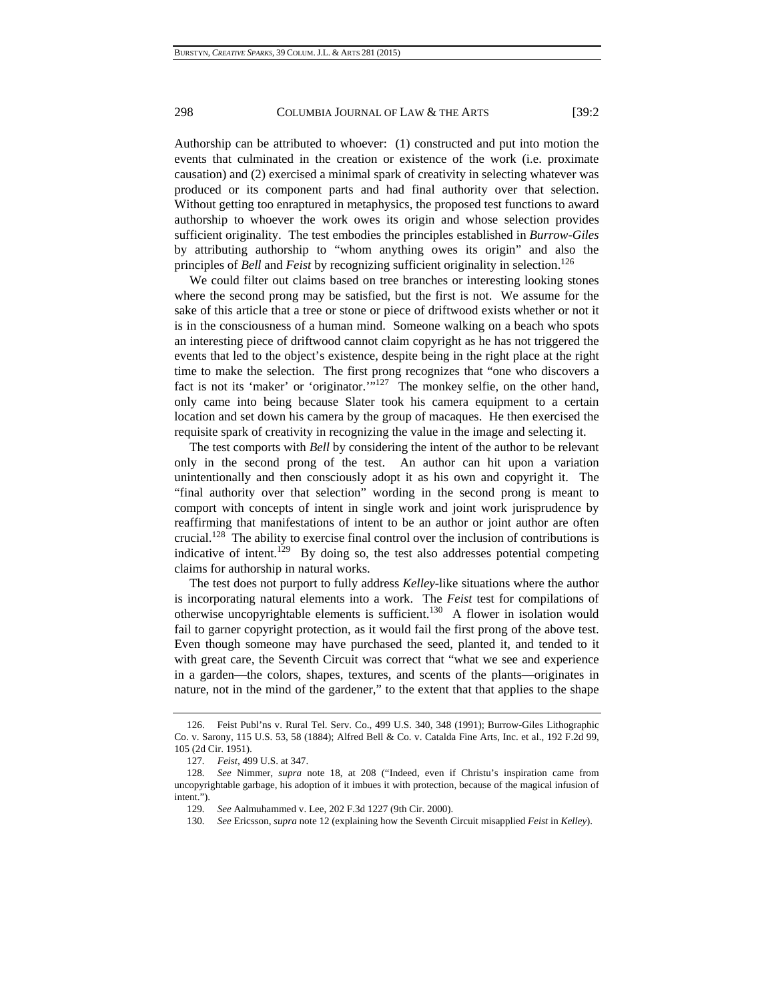Authorship can be attributed to whoever: (1) constructed and put into motion the events that culminated in the creation or existence of the work (i.e. proximate causation) and (2) exercised a minimal spark of creativity in selecting whatever was produced or its component parts and had final authority over that selection. Without getting too enraptured in metaphysics, the proposed test functions to award authorship to whoever the work owes its origin and whose selection provides sufficient originality. The test embodies the principles established in *Burrow-Giles* by attributing authorship to "whom anything owes its origin" and also the principles of *Bell* and *Feist* by recognizing sufficient originality in selection.<sup>126</sup>

We could filter out claims based on tree branches or interesting looking stones where the second prong may be satisfied, but the first is not. We assume for the sake of this article that a tree or stone or piece of driftwood exists whether or not it is in the consciousness of a human mind. Someone walking on a beach who spots an interesting piece of driftwood cannot claim copyright as he has not triggered the events that led to the object's existence, despite being in the right place at the right time to make the selection. The first prong recognizes that "one who discovers a fact is not its 'maker' or 'originator.'"<sup>127</sup> The monkey selfie, on the other hand, only came into being because Slater took his camera equipment to a certain location and set down his camera by the group of macaques. He then exercised the requisite spark of creativity in recognizing the value in the image and selecting it.

The test comports with *Bell* by considering the intent of the author to be relevant only in the second prong of the test. An author can hit upon a variation unintentionally and then consciously adopt it as his own and copyright it. The "final authority over that selection" wording in the second prong is meant to comport with concepts of intent in single work and joint work jurisprudence by reaffirming that manifestations of intent to be an author or joint author are often crucial.128 The ability to exercise final control over the inclusion of contributions is indicative of intent.<sup>129</sup> By doing so, the test also addresses potential competing claims for authorship in natural works.

The test does not purport to fully address *Kelley*-like situations where the author is incorporating natural elements into a work. The *Feist* test for compilations of otherwise uncopyrightable elements is sufficient.<sup>130</sup> A flower in isolation would fail to garner copyright protection, as it would fail the first prong of the above test. Even though someone may have purchased the seed, planted it, and tended to it with great care, the Seventh Circuit was correct that "what we see and experience in a garden—the colors, shapes, textures, and scents of the plants—originates in nature, not in the mind of the gardener," to the extent that that applies to the shape

 <sup>126.</sup> Feist Publ'ns v. Rural Tel. Serv. Co., 499 U.S. 340, 348 (1991); Burrow-Giles Lithographic Co. v. Sarony, 115 U.S. 53, 58 (1884); Alfred Bell & Co. v. Catalda Fine Arts, Inc. et al., 192 F.2d 99, 105 (2d Cir. 1951).

<sup>127</sup>*. Feist*, 499 U.S. at 347.

<sup>128</sup>*. See* Nimmer, *supra* note 18, at 208 ("Indeed, even if Christu's inspiration came from uncopyrightable garbage, his adoption of it imbues it with protection, because of the magical infusion of intent.").

<sup>129</sup>*. See* Aalmuhammed v. Lee, 202 F.3d 1227 (9th Cir. 2000).

<sup>130</sup>*. See* Ericsson, *supra* note 12 (explaining how the Seventh Circuit misapplied *Feist* in *Kelley*).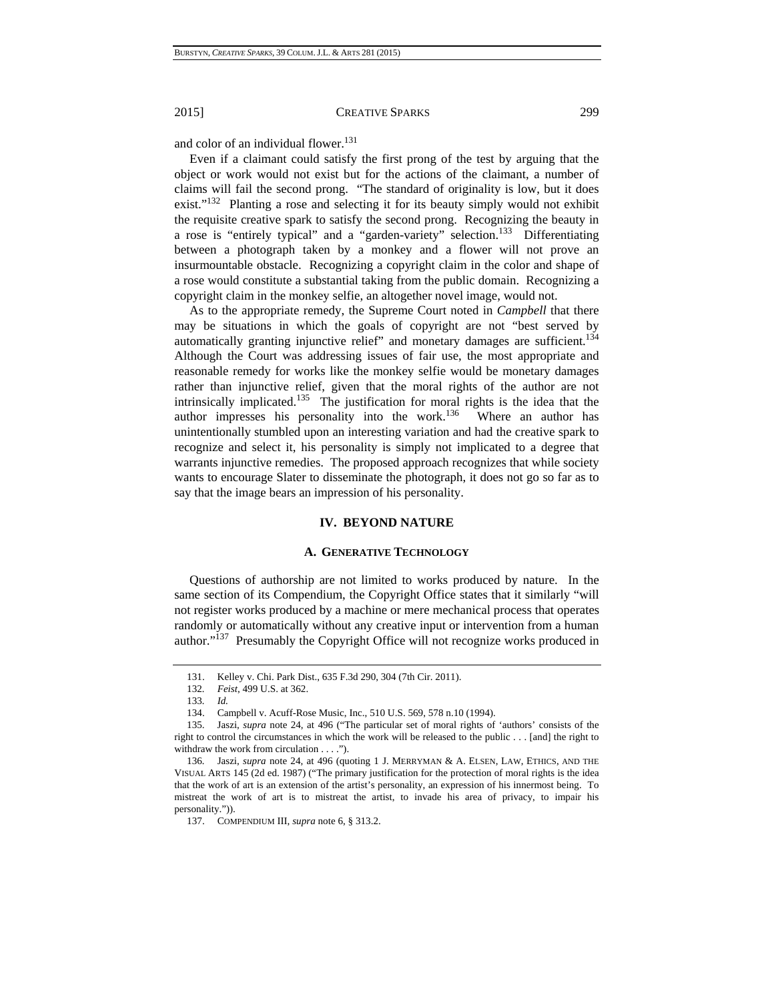and color of an individual flower.<sup>131</sup>

Even if a claimant could satisfy the first prong of the test by arguing that the object or work would not exist but for the actions of the claimant, a number of claims will fail the second prong. "The standard of originality is low, but it does exist."<sup>132</sup> Planting a rose and selecting it for its beauty simply would not exhibit the requisite creative spark to satisfy the second prong. Recognizing the beauty in a rose is "entirely typical" and a "garden-variety" selection.<sup>133</sup> Differentiating between a photograph taken by a monkey and a flower will not prove an insurmountable obstacle. Recognizing a copyright claim in the color and shape of a rose would constitute a substantial taking from the public domain. Recognizing a copyright claim in the monkey selfie, an altogether novel image, would not.

As to the appropriate remedy, the Supreme Court noted in *Campbell* that there may be situations in which the goals of copyright are not "best served by automatically granting injunctive relief" and monetary damages are sufficient.<sup>134</sup> Although the Court was addressing issues of fair use, the most appropriate and reasonable remedy for works like the monkey selfie would be monetary damages rather than injunctive relief, given that the moral rights of the author are not intrinsically implicated.<sup>135</sup> The justification for moral rights is the idea that the author impresses his personality into the work.<sup>136</sup> Where an author has unintentionally stumbled upon an interesting variation and had the creative spark to recognize and select it, his personality is simply not implicated to a degree that warrants injunctive remedies. The proposed approach recognizes that while society wants to encourage Slater to disseminate the photograph, it does not go so far as to say that the image bears an impression of his personality.

# **IV. BEYOND NATURE**

### **A. GENERATIVE TECHNOLOGY**

Questions of authorship are not limited to works produced by nature. In the same section of its Compendium, the Copyright Office states that it similarly "will not register works produced by a machine or mere mechanical process that operates randomly or automatically without any creative input or intervention from a human author."137 Presumably the Copyright Office will not recognize works produced in

 <sup>131.</sup> Kelley v. Chi. Park Dist., 635 F.3d 290, 304 (7th Cir. 2011).

<sup>132</sup>*. Feist*, 499 U.S. at 362.

<sup>133</sup>*. Id.*

 <sup>134.</sup> Campbell v. Acuff-Rose Music, Inc., 510 U.S. 569, 578 n.10 (1994).

 <sup>135.</sup> Jaszi, *supra* note 24, at 496 ("The particular set of moral rights of 'authors' consists of the right to control the circumstances in which the work will be released to the public . . . [and] the right to withdraw the work from circulation . . . .").

<sup>136</sup>*.* Jaszi, *supra* note 24, at 496 (quoting 1 J. MERRYMAN & A. ELSEN, LAW, ETHICS, AND THE VISUAL ARTS 145 (2d ed. 1987) ("The primary justification for the protection of moral rights is the idea that the work of art is an extension of the artist's personality, an expression of his innermost being. To mistreat the work of art is to mistreat the artist, to invade his area of privacy, to impair his personality.")).

 <sup>137.</sup> COMPENDIUM III, *supra* note 6, § 313.2.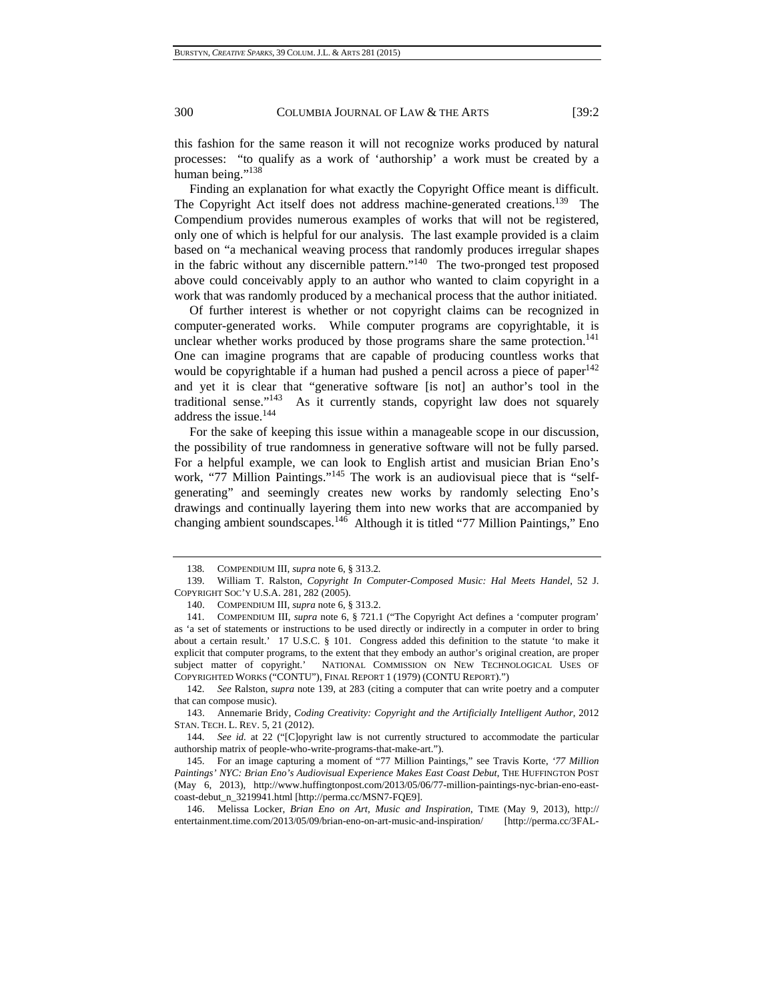this fashion for the same reason it will not recognize works produced by natural processes: "to qualify as a work of 'authorship' a work must be created by a human being."<sup>138</sup>

Finding an explanation for what exactly the Copyright Office meant is difficult. The Copyright Act itself does not address machine-generated creations.<sup>139</sup> The Compendium provides numerous examples of works that will not be registered, only one of which is helpful for our analysis. The last example provided is a claim based on "a mechanical weaving process that randomly produces irregular shapes in the fabric without any discernible pattern."140 The two-pronged test proposed above could conceivably apply to an author who wanted to claim copyright in a work that was randomly produced by a mechanical process that the author initiated.

Of further interest is whether or not copyright claims can be recognized in computer-generated works. While computer programs are copyrightable, it is unclear whether works produced by those programs share the same protection.<sup>141</sup> One can imagine programs that are capable of producing countless works that would be copyrightable if a human had pushed a pencil across a piece of paper $142$ and yet it is clear that "generative software [is not] an author's tool in the traditional sense."<sup>143</sup> As it currently stands, copyright law does not squarely address the issue.<sup>144</sup>

For the sake of keeping this issue within a manageable scope in our discussion, the possibility of true randomness in generative software will not be fully parsed. For a helpful example, we can look to English artist and musician Brian Eno's work, "77 Million Paintings."<sup>145</sup> The work is an audiovisual piece that is "selfgenerating" and seemingly creates new works by randomly selecting Eno's drawings and continually layering them into new works that are accompanied by changing ambient soundscapes.<sup>146</sup> Although it is titled "77 Million Paintings," Eno

<sup>138</sup>*.* COMPENDIUM III, *supra* note 6, § 313.2*.*

 <sup>139.</sup> William T. Ralston, *Copyright In Computer-Composed Music: Hal Meets Handel*, 52 J. COPYRIGHT SOC'Y U.S.A. 281, 282 (2005).

 <sup>140.</sup> COMPENDIUM III, *supra* note 6, § 313.2.

<sup>141</sup>*.* COMPENDIUM III, *supra* note 6, § 721.1 ("The Copyright Act defines a 'computer program' as 'a set of statements or instructions to be used directly or indirectly in a computer in order to bring about a certain result.' 17 U.S.C. § 101. Congress added this definition to the statute 'to make it explicit that computer programs, to the extent that they embody an author's original creation, are proper subject matter of copyright.' NATIONAL COMMISSION ON NEW TECHNOLOGICAL USES OF COPYRIGHTED WORKS ("CONTU"), FINAL REPORT 1 (1979) (CONTU REPORT).")

<sup>142</sup>*. See* Ralston, *supra* note 139, at 283 (citing a computer that can write poetry and a computer that can compose music).

 <sup>143.</sup> Annemarie Bridy, *Coding Creativity: Copyright and the Artificially Intelligent Author*, 2012 STAN. TECH. L. REV. 5, 21 (2012).

<sup>144</sup>*. See id.* at 22 ("[C]opyright law is not currently structured to accommodate the particular authorship matrix of people-who-write-programs-that-make-art.").

 <sup>145.</sup> For an image capturing a moment of "77 Million Paintings," see Travis Korte, *'77 Million Paintings' NYC: Brian Eno's Audiovisual Experience Makes East Coast Debut*, THE HUFFINGTON POST (May 6, 2013), http://www.huffingtonpost.com/2013/05/06/77-million-paintings-nyc-brian-eno-eastcoast-debut\_n\_3219941.html [http://perma.cc/MSN7-FQE9].

 <sup>146.</sup> Melissa Locker, *Brian Eno on Art, Music and Inspiration*, TIME (May 9, 2013), http:// entertainment.time.com/2013/05/09/brian-eno-on-art-music-and-inspiration/ [http://perma.cc/3FAL-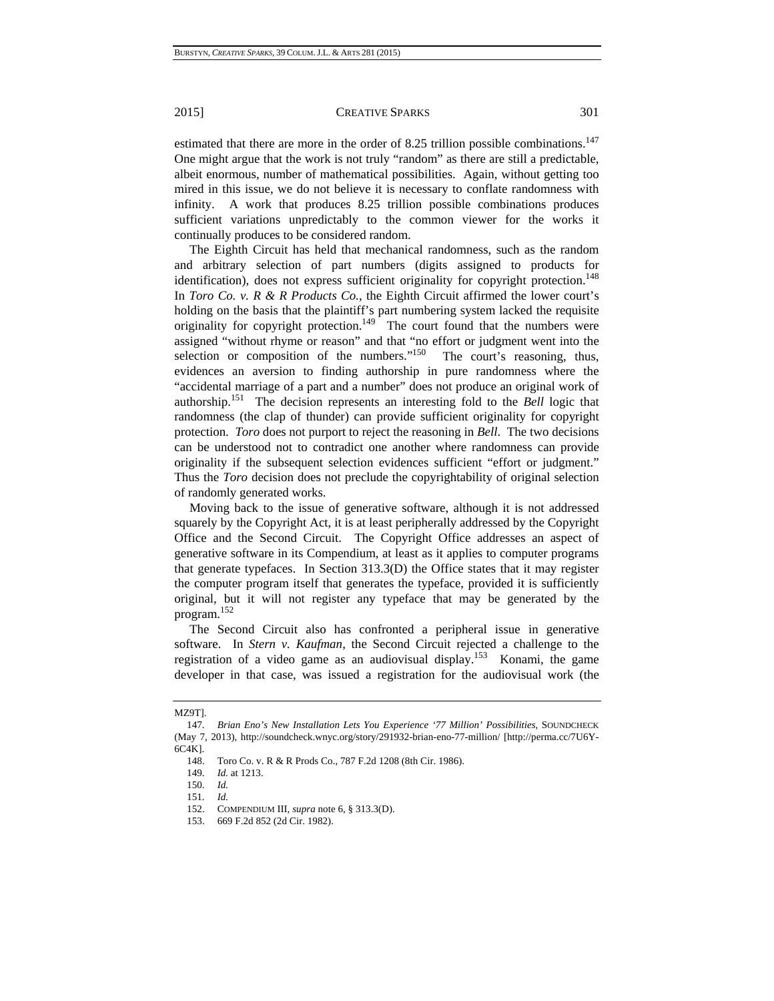estimated that there are more in the order of 8.25 trillion possible combinations.<sup>147</sup> One might argue that the work is not truly "random" as there are still a predictable, albeit enormous, number of mathematical possibilities. Again, without getting too mired in this issue, we do not believe it is necessary to conflate randomness with infinity. A work that produces 8.25 trillion possible combinations produces sufficient variations unpredictably to the common viewer for the works it continually produces to be considered random.

The Eighth Circuit has held that mechanical randomness, such as the random and arbitrary selection of part numbers (digits assigned to products for identification), does not express sufficient originality for copyright protection.<sup>148</sup> In *Toro Co. v. R & R Products Co.*, the Eighth Circuit affirmed the lower court's holding on the basis that the plaintiff's part numbering system lacked the requisite originality for copyright protection.<sup>149</sup> The court found that the numbers were assigned "without rhyme or reason" and that "no effort or judgment went into the selection or composition of the numbers."<sup>150</sup> The court's reasoning, thus, evidences an aversion to finding authorship in pure randomness where the "accidental marriage of a part and a number" does not produce an original work of authorship.151 The decision represents an interesting fold to the *Bell* logic that randomness (the clap of thunder) can provide sufficient originality for copyright protection. *Toro* does not purport to reject the reasoning in *Bell*. The two decisions can be understood not to contradict one another where randomness can provide originality if the subsequent selection evidences sufficient "effort or judgment." Thus the *Toro* decision does not preclude the copyrightability of original selection of randomly generated works.

Moving back to the issue of generative software, although it is not addressed squarely by the Copyright Act, it is at least peripherally addressed by the Copyright Office and the Second Circuit. The Copyright Office addresses an aspect of generative software in its Compendium, at least as it applies to computer programs that generate typefaces. In Section 313.3(D) the Office states that it may register the computer program itself that generates the typeface, provided it is sufficiently original, but it will not register any typeface that may be generated by the program.<sup>152</sup>

The Second Circuit also has confronted a peripheral issue in generative software. In *Stern v. Kaufman*, the Second Circuit rejected a challenge to the registration of a video game as an audiovisual display.153 Konami, the game developer in that case, was issued a registration for the audiovisual work (the

MZ9T].

<sup>147</sup>*. Brian Eno's New Installation Lets You Experience '77 Million' Possibilities*, SOUNDCHECK (May 7, 2013), http://soundcheck.wnyc.org/story/291932-brian-eno-77-million/ [http://perma.cc/7U6Y-6C4K].

 <sup>148.</sup> Toro Co. v. R & R Prods Co., 787 F.2d 1208 (8th Cir. 1986).

<sup>149</sup>*. Id.* at 1213.

<sup>150</sup>*. Id.*

<sup>151</sup>*. Id.*

 <sup>152.</sup> COMPENDIUM III, *supra* note 6, § 313.3(D).

 <sup>153. 669</sup> F.2d 852 (2d Cir. 1982).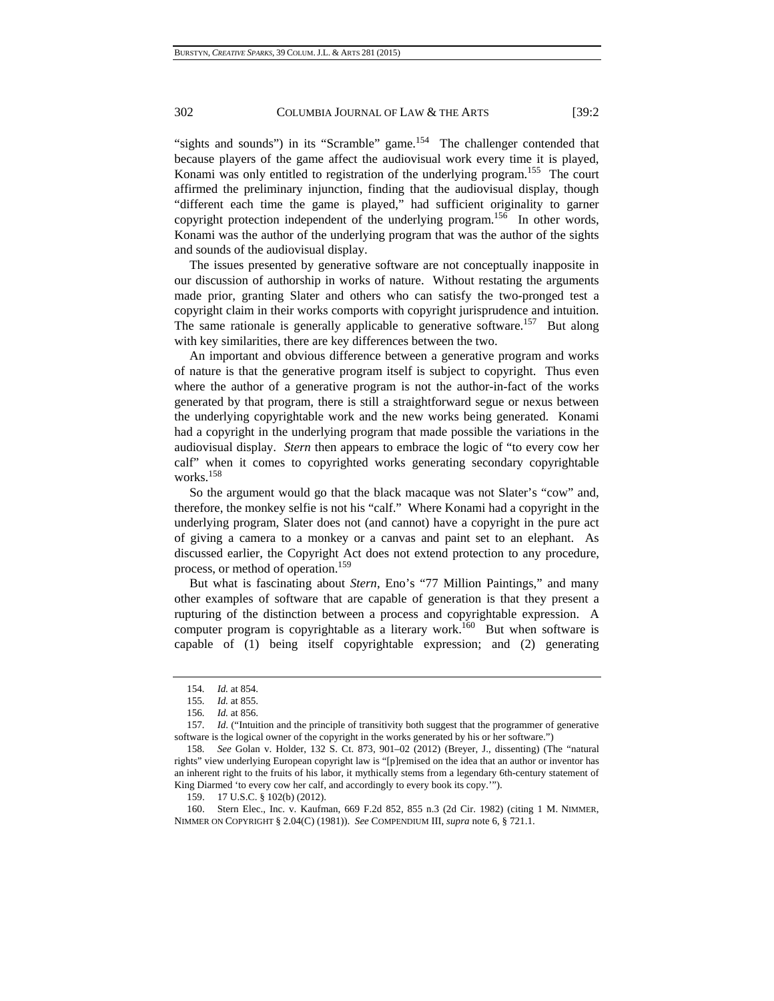"sights and sounds") in its "Scramble" game.<sup>154</sup> The challenger contended that because players of the game affect the audiovisual work every time it is played, Konami was only entitled to registration of the underlying program.<sup>155</sup> The court affirmed the preliminary injunction, finding that the audiovisual display, though "different each time the game is played," had sufficient originality to garner copyright protection independent of the underlying program.156 In other words, Konami was the author of the underlying program that was the author of the sights and sounds of the audiovisual display.

The issues presented by generative software are not conceptually inapposite in our discussion of authorship in works of nature. Without restating the arguments made prior, granting Slater and others who can satisfy the two-pronged test a copyright claim in their works comports with copyright jurisprudence and intuition. The same rationale is generally applicable to generative software.<sup>157</sup> But along with key similarities, there are key differences between the two.

An important and obvious difference between a generative program and works of nature is that the generative program itself is subject to copyright. Thus even where the author of a generative program is not the author-in-fact of the works generated by that program, there is still a straightforward segue or nexus between the underlying copyrightable work and the new works being generated. Konami had a copyright in the underlying program that made possible the variations in the audiovisual display. *Stern* then appears to embrace the logic of "to every cow her calf" when it comes to copyrighted works generating secondary copyrightable works.<sup>158</sup>

So the argument would go that the black macaque was not Slater's "cow" and, therefore, the monkey selfie is not his "calf." Where Konami had a copyright in the underlying program, Slater does not (and cannot) have a copyright in the pure act of giving a camera to a monkey or a canvas and paint set to an elephant. As discussed earlier, the Copyright Act does not extend protection to any procedure, process, or method of operation.<sup>159</sup>

But what is fascinating about *Stern*, Eno's "77 Million Paintings," and many other examples of software that are capable of generation is that they present a rupturing of the distinction between a process and copyrightable expression. A computer program is copyrightable as a literary work.<sup>160</sup> But when software is capable of (1) being itself copyrightable expression; and (2) generating

<sup>154</sup>*. Id.* at 854.

<sup>155</sup>*. Id.* at 855.

<sup>156</sup>*. Id.* at 856.

<sup>157</sup>*. Id*. ("Intuition and the principle of transitivity both suggest that the programmer of generative software is the logical owner of the copyright in the works generated by his or her software.")

<sup>158</sup>*. See* Golan v. Holder, 132 S. Ct. 873, 901–02 (2012) (Breyer, J., dissenting) (The "natural rights" view underlying European copyright law is "[p]remised on the idea that an author or inventor has an inherent right to the fruits of his labor, it mythically stems from a legendary 6th-century statement of King Diarmed 'to every cow her calf, and accordingly to every book its copy.'").

 <sup>159. 17</sup> U.S.C. § 102(b) (2012).

 <sup>160.</sup> Stern Elec., Inc. v. Kaufman, 669 F.2d 852, 855 n.3 (2d Cir. 1982) (citing 1 M. NIMMER, NIMMER ON COPYRIGHT § 2.04(C) (1981)). *See* COMPENDIUM III, *supra* note 6, § 721.1.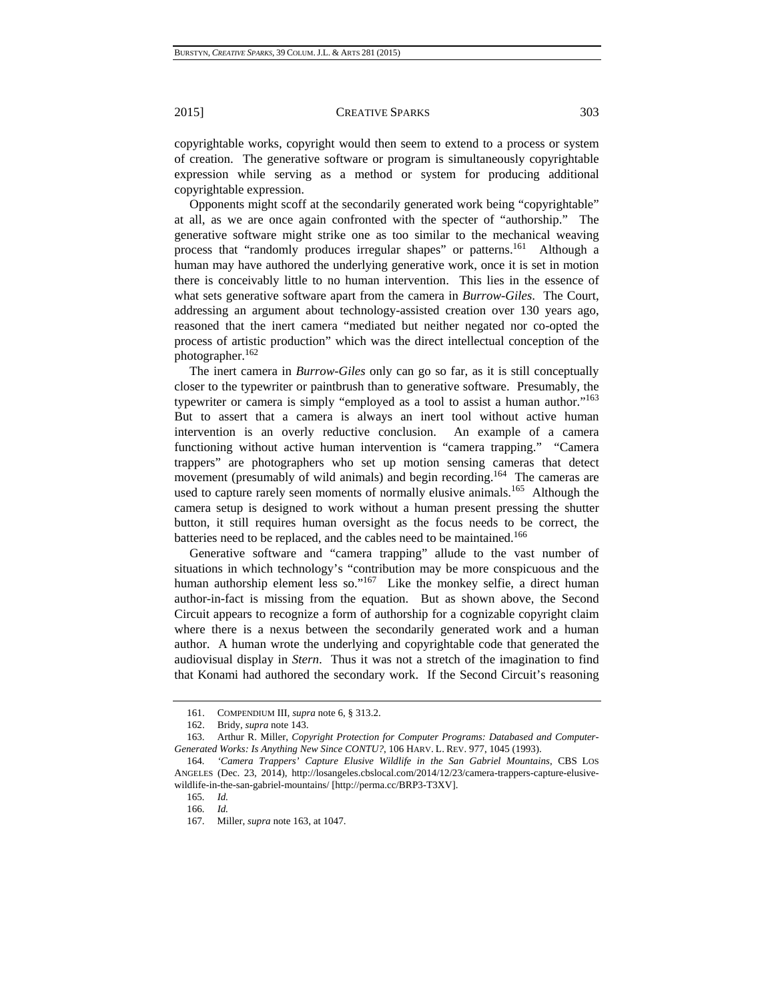copyrightable works, copyright would then seem to extend to a process or system of creation. The generative software or program is simultaneously copyrightable expression while serving as a method or system for producing additional copyrightable expression.

Opponents might scoff at the secondarily generated work being "copyrightable" at all, as we are once again confronted with the specter of "authorship." The generative software might strike one as too similar to the mechanical weaving process that "randomly produces irregular shapes" or patterns.<sup>161</sup> Although a human may have authored the underlying generative work, once it is set in motion there is conceivably little to no human intervention. This lies in the essence of what sets generative software apart from the camera in *Burrow-Giles*. The Court, addressing an argument about technology-assisted creation over 130 years ago, reasoned that the inert camera "mediated but neither negated nor co-opted the process of artistic production" which was the direct intellectual conception of the photographer.162

The inert camera in *Burrow-Giles* only can go so far, as it is still conceptually closer to the typewriter or paintbrush than to generative software. Presumably, the typewriter or camera is simply "employed as a tool to assist a human author."163 But to assert that a camera is always an inert tool without active human intervention is an overly reductive conclusion. An example of a camera functioning without active human intervention is "camera trapping." "Camera trappers" are photographers who set up motion sensing cameras that detect movement (presumably of wild animals) and begin recording.<sup>164</sup> The cameras are used to capture rarely seen moments of normally elusive animals.<sup>165</sup> Although the camera setup is designed to work without a human present pressing the shutter button, it still requires human oversight as the focus needs to be correct, the batteries need to be replaced, and the cables need to be maintained.<sup>166</sup>

Generative software and "camera trapping" allude to the vast number of situations in which technology's "contribution may be more conspicuous and the human authorship element less so."<sup>167</sup> Like the monkey selfie, a direct human author-in-fact is missing from the equation. But as shown above, the Second Circuit appears to recognize a form of authorship for a cognizable copyright claim where there is a nexus between the secondarily generated work and a human author. A human wrote the underlying and copyrightable code that generated the audiovisual display in *Stern*. Thus it was not a stretch of the imagination to find that Konami had authored the secondary work. If the Second Circuit's reasoning

 <sup>161.</sup> COMPENDIUM III, *supra* note 6, § 313.2.

 <sup>162.</sup> Bridy, *supra* note 143.

 <sup>163.</sup> Arthur R. Miller, *Copyright Protection for Computer Programs: Databased and Computer-Generated Works: Is Anything New Since CONTU?*, 106 HARV. L. REV. 977, 1045 (1993).

<sup>164</sup>*. 'Camera Trappers' Capture Elusive Wildlife in the San Gabriel Mountains*, CBS LOS ANGELES (Dec. 23, 2014), http://losangeles.cbslocal.com/2014/12/23/camera-trappers-capture-elusivewildlife-in-the-san-gabriel-mountains/ [http://perma.cc/BRP3-T3XV].

<sup>165</sup>*. Id.*

<sup>166</sup>*. Id.*

 <sup>167.</sup> Miller, *supra* note 163, at 1047.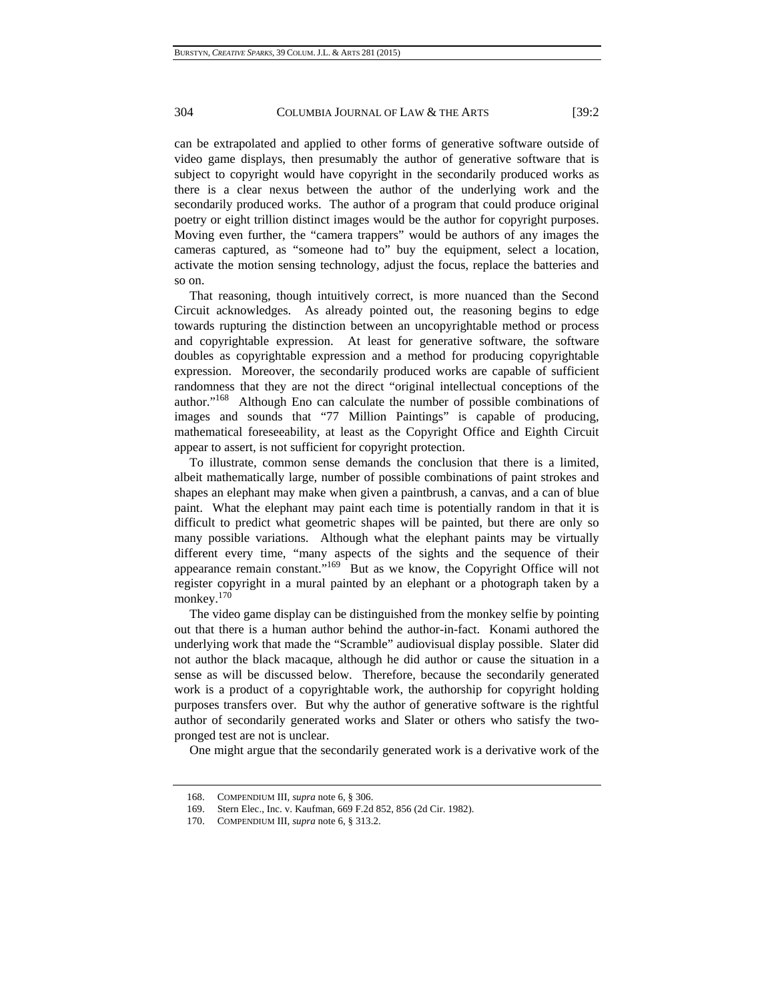can be extrapolated and applied to other forms of generative software outside of video game displays, then presumably the author of generative software that is subject to copyright would have copyright in the secondarily produced works as there is a clear nexus between the author of the underlying work and the secondarily produced works. The author of a program that could produce original poetry or eight trillion distinct images would be the author for copyright purposes. Moving even further, the "camera trappers" would be authors of any images the cameras captured, as "someone had to" buy the equipment, select a location, activate the motion sensing technology, adjust the focus, replace the batteries and so on.

That reasoning, though intuitively correct, is more nuanced than the Second Circuit acknowledges. As already pointed out, the reasoning begins to edge towards rupturing the distinction between an uncopyrightable method or process and copyrightable expression. At least for generative software, the software doubles as copyrightable expression and a method for producing copyrightable expression. Moreover, the secondarily produced works are capable of sufficient randomness that they are not the direct "original intellectual conceptions of the author."168 Although Eno can calculate the number of possible combinations of images and sounds that "77 Million Paintings" is capable of producing, mathematical foreseeability, at least as the Copyright Office and Eighth Circuit appear to assert, is not sufficient for copyright protection.

To illustrate, common sense demands the conclusion that there is a limited, albeit mathematically large, number of possible combinations of paint strokes and shapes an elephant may make when given a paintbrush, a canvas, and a can of blue paint. What the elephant may paint each time is potentially random in that it is difficult to predict what geometric shapes will be painted, but there are only so many possible variations. Although what the elephant paints may be virtually different every time, "many aspects of the sights and the sequence of their appearance remain constant." $169$  But as we know, the Copyright Office will not register copyright in a mural painted by an elephant or a photograph taken by a monkey.<sup>170</sup>

The video game display can be distinguished from the monkey selfie by pointing out that there is a human author behind the author-in-fact. Konami authored the underlying work that made the "Scramble" audiovisual display possible. Slater did not author the black macaque, although he did author or cause the situation in a sense as will be discussed below. Therefore, because the secondarily generated work is a product of a copyrightable work, the authorship for copyright holding purposes transfers over. But why the author of generative software is the rightful author of secondarily generated works and Slater or others who satisfy the twopronged test are not is unclear.

One might argue that the secondarily generated work is a derivative work of the

 <sup>168.</sup> COMPENDIUM III, *supra* note 6, § 306.

 <sup>169.</sup> Stern Elec., Inc. v. Kaufman, 669 F.2d 852, 856 (2d Cir. 1982).

 <sup>170.</sup> COMPENDIUM III, *supra* note 6, § 313.2.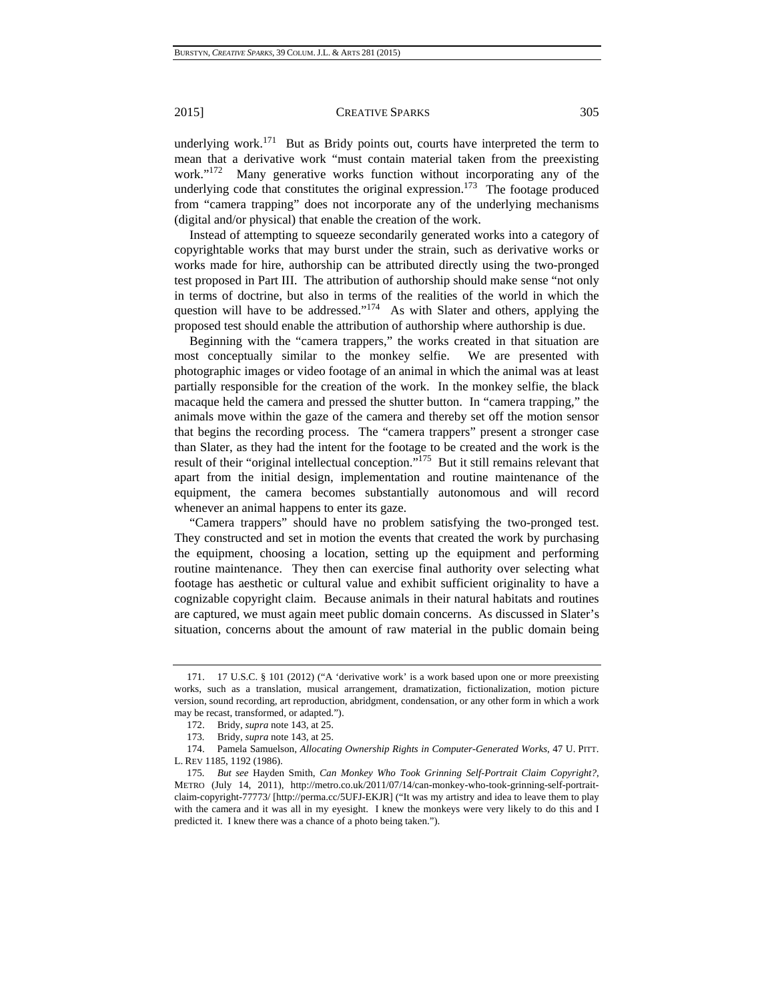underlying work.<sup>171</sup> But as Bridy points out, courts have interpreted the term to mean that a derivative work "must contain material taken from the preexisting work."<sup>172</sup> Many generative works function without incorporating any of the underlying code that constitutes the original expression.<sup>173</sup> The footage produced from "camera trapping" does not incorporate any of the underlying mechanisms (digital and/or physical) that enable the creation of the work.

Instead of attempting to squeeze secondarily generated works into a category of copyrightable works that may burst under the strain, such as derivative works or works made for hire, authorship can be attributed directly using the two-pronged test proposed in Part III. The attribution of authorship should make sense "not only in terms of doctrine, but also in terms of the realities of the world in which the question will have to be addressed." $174$  As with Slater and others, applying the proposed test should enable the attribution of authorship where authorship is due.

Beginning with the "camera trappers," the works created in that situation are most conceptually similar to the monkey selfie. We are presented with photographic images or video footage of an animal in which the animal was at least partially responsible for the creation of the work. In the monkey selfie, the black macaque held the camera and pressed the shutter button. In "camera trapping," the animals move within the gaze of the camera and thereby set off the motion sensor that begins the recording process. The "camera trappers" present a stronger case than Slater, as they had the intent for the footage to be created and the work is the result of their "original intellectual conception."175 But it still remains relevant that apart from the initial design, implementation and routine maintenance of the equipment, the camera becomes substantially autonomous and will record whenever an animal happens to enter its gaze.

"Camera trappers" should have no problem satisfying the two-pronged test. They constructed and set in motion the events that created the work by purchasing the equipment, choosing a location, setting up the equipment and performing routine maintenance. They then can exercise final authority over selecting what footage has aesthetic or cultural value and exhibit sufficient originality to have a cognizable copyright claim. Because animals in their natural habitats and routines are captured, we must again meet public domain concerns. As discussed in Slater's situation, concerns about the amount of raw material in the public domain being

 <sup>171. 17</sup> U.S.C. § 101 (2012) ("A 'derivative work' is a work based upon one or more preexisting works, such as a translation, musical arrangement, dramatization, fictionalization, motion picture version, sound recording, art reproduction, abridgment, condensation, or any other form in which a work may be recast, transformed, or adapted.").

 <sup>172.</sup> Bridy, *supra* note 143, at 25.

<sup>173</sup>*.* Bridy, *supra* note 143, at 25.

 <sup>174.</sup> Pamela Samuelson, *Allocating Ownership Rights in Computer-Generated Works*, 47 U. PITT. L. REV 1185, 1192 (1986).

<sup>175</sup>*. But see* Hayden Smith, *Can Monkey Who Took Grinning Self-Portrait Claim Copyright?*, METRO (July 14, 2011), http://metro.co.uk/2011/07/14/can-monkey-who-took-grinning-self-portraitclaim-copyright-77773/ [http://perma.cc/5UFJ-EKJR] ("It was my artistry and idea to leave them to play with the camera and it was all in my eyesight. I knew the monkeys were very likely to do this and I predicted it. I knew there was a chance of a photo being taken.").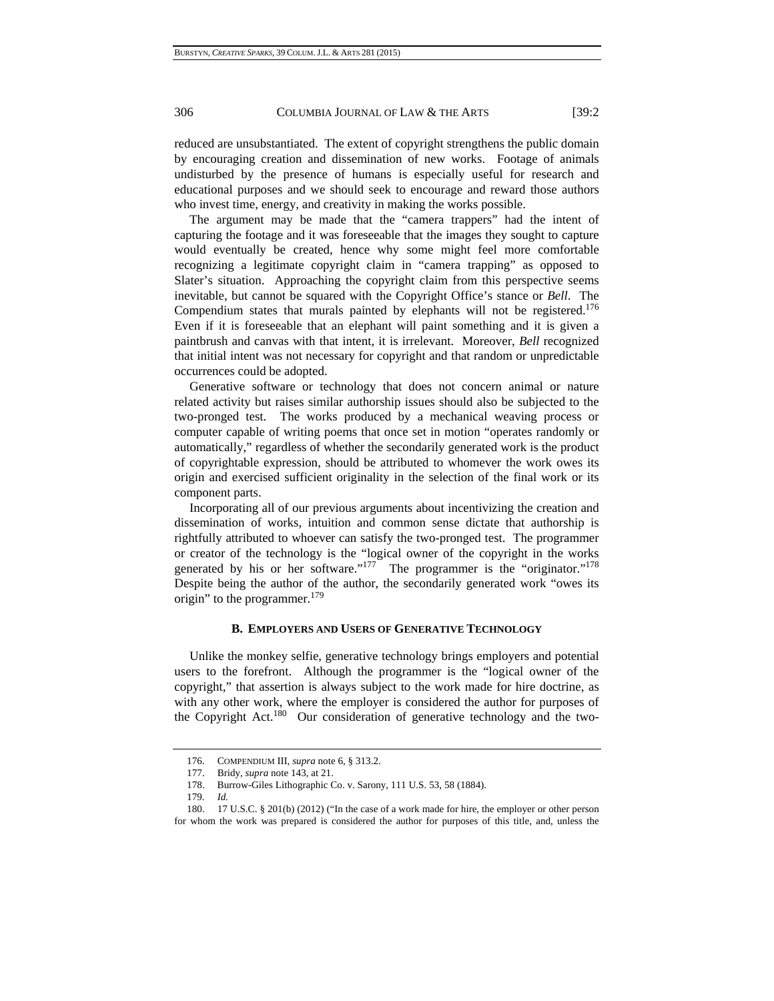reduced are unsubstantiated. The extent of copyright strengthens the public domain by encouraging creation and dissemination of new works. Footage of animals undisturbed by the presence of humans is especially useful for research and educational purposes and we should seek to encourage and reward those authors who invest time, energy, and creativity in making the works possible.

The argument may be made that the "camera trappers" had the intent of capturing the footage and it was foreseeable that the images they sought to capture would eventually be created, hence why some might feel more comfortable recognizing a legitimate copyright claim in "camera trapping" as opposed to Slater's situation. Approaching the copyright claim from this perspective seems inevitable, but cannot be squared with the Copyright Office's stance or *Bell*. The Compendium states that murals painted by elephants will not be registered.<sup>176</sup> Even if it is foreseeable that an elephant will paint something and it is given a paintbrush and canvas with that intent, it is irrelevant. Moreover, *Bell* recognized that initial intent was not necessary for copyright and that random or unpredictable occurrences could be adopted.

Generative software or technology that does not concern animal or nature related activity but raises similar authorship issues should also be subjected to the two-pronged test. The works produced by a mechanical weaving process or computer capable of writing poems that once set in motion "operates randomly or automatically," regardless of whether the secondarily generated work is the product of copyrightable expression, should be attributed to whomever the work owes its origin and exercised sufficient originality in the selection of the final work or its component parts.

Incorporating all of our previous arguments about incentivizing the creation and dissemination of works, intuition and common sense dictate that authorship is rightfully attributed to whoever can satisfy the two-pronged test. The programmer or creator of the technology is the "logical owner of the copyright in the works generated by his or her software." $177^\circ$  The programmer is the "originator."<sup>178</sup> Despite being the author of the author, the secondarily generated work "owes its origin" to the programmer. $179$ 

### **B. EMPLOYERS AND USERS OF GENERATIVE TECHNOLOGY**

Unlike the monkey selfie, generative technology brings employers and potential users to the forefront. Although the programmer is the "logical owner of the copyright," that assertion is always subject to the work made for hire doctrine, as with any other work, where the employer is considered the author for purposes of the Copyright Act.<sup>180</sup> Our consideration of generative technology and the two-

 <sup>176.</sup> COMPENDIUM III, *supra* note 6, § 313.2.

 <sup>177.</sup> Bridy, *supra* note 143, at 21.

 <sup>178.</sup> Burrow-Giles Lithographic Co. v. Sarony, 111 U.S. 53, 58 (1884).

<sup>179</sup>*. Id.*

 <sup>180. 17</sup> U.S.C. § 201(b) (2012) ("In the case of a work made for hire, the employer or other person for whom the work was prepared is considered the author for purposes of this title, and, unless the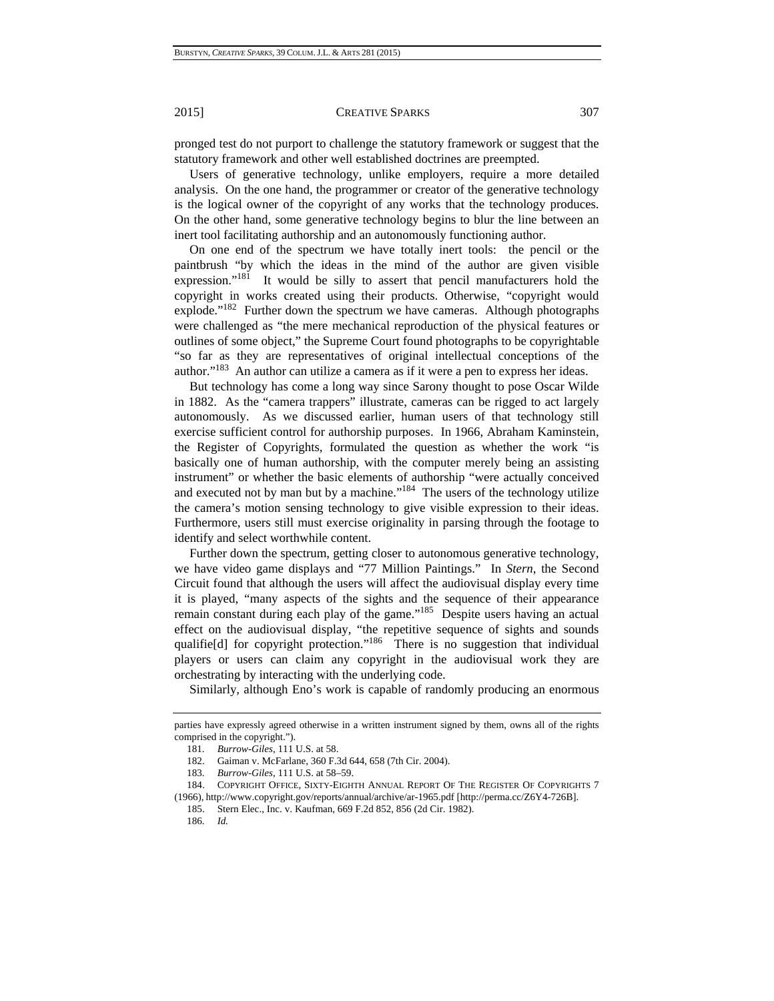pronged test do not purport to challenge the statutory framework or suggest that the statutory framework and other well established doctrines are preempted.

Users of generative technology, unlike employers, require a more detailed analysis. On the one hand, the programmer or creator of the generative technology is the logical owner of the copyright of any works that the technology produces. On the other hand, some generative technology begins to blur the line between an inert tool facilitating authorship and an autonomously functioning author.

On one end of the spectrum we have totally inert tools: the pencil or the paintbrush "by which the ideas in the mind of the author are given visible expression."<sup>181</sup> It would be silly to assert that pencil manufacturers hold the copyright in works created using their products. Otherwise, "copyright would explode."<sup>182</sup> Further down the spectrum we have cameras. Although photographs were challenged as "the mere mechanical reproduction of the physical features or outlines of some object," the Supreme Court found photographs to be copyrightable "so far as they are representatives of original intellectual conceptions of the author."<sup>183</sup> An author can utilize a camera as if it were a pen to express her ideas.

But technology has come a long way since Sarony thought to pose Oscar Wilde in 1882. As the "camera trappers" illustrate, cameras can be rigged to act largely autonomously. As we discussed earlier, human users of that technology still exercise sufficient control for authorship purposes. In 1966, Abraham Kaminstein, the Register of Copyrights, formulated the question as whether the work "is basically one of human authorship, with the computer merely being an assisting instrument" or whether the basic elements of authorship "were actually conceived and executed not by man but by a machine."184 The users of the technology utilize the camera's motion sensing technology to give visible expression to their ideas. Furthermore, users still must exercise originality in parsing through the footage to identify and select worthwhile content.

Further down the spectrum, getting closer to autonomous generative technology, we have video game displays and "77 Million Paintings." In *Stern*, the Second Circuit found that although the users will affect the audiovisual display every time it is played, "many aspects of the sights and the sequence of their appearance remain constant during each play of the game."185 Despite users having an actual effect on the audiovisual display, "the repetitive sequence of sights and sounds qualifie[d] for copyright protection."<sup>186</sup> There is no suggestion that individual players or users can claim any copyright in the audiovisual work they are orchestrating by interacting with the underlying code.

Similarly, although Eno's work is capable of randomly producing an enormous

parties have expressly agreed otherwise in a written instrument signed by them, owns all of the rights comprised in the copyright.").

<sup>181</sup>*. Burrow-Giles*, 111 U.S. at 58.

 <sup>182.</sup> Gaiman v. McFarlane, 360 F.3d 644, 658 (7th Cir. 2004).

<sup>183</sup>*. Burrow-Giles*, 111 U.S. at 58–59.

 <sup>184.</sup> COPYRIGHT OFFICE, SIXTY-EIGHTH ANNUAL REPORT OF THE REGISTER OF COPYRIGHTS 7 (1966), http://www.copyright.gov/reports/annual/archive/ar-1965.pdf [http://perma.cc/Z6Y4-726B].

 <sup>185.</sup> Stern Elec., Inc. v. Kaufman, 669 F.2d 852, 856 (2d Cir. 1982).

<sup>186</sup>*. Id.*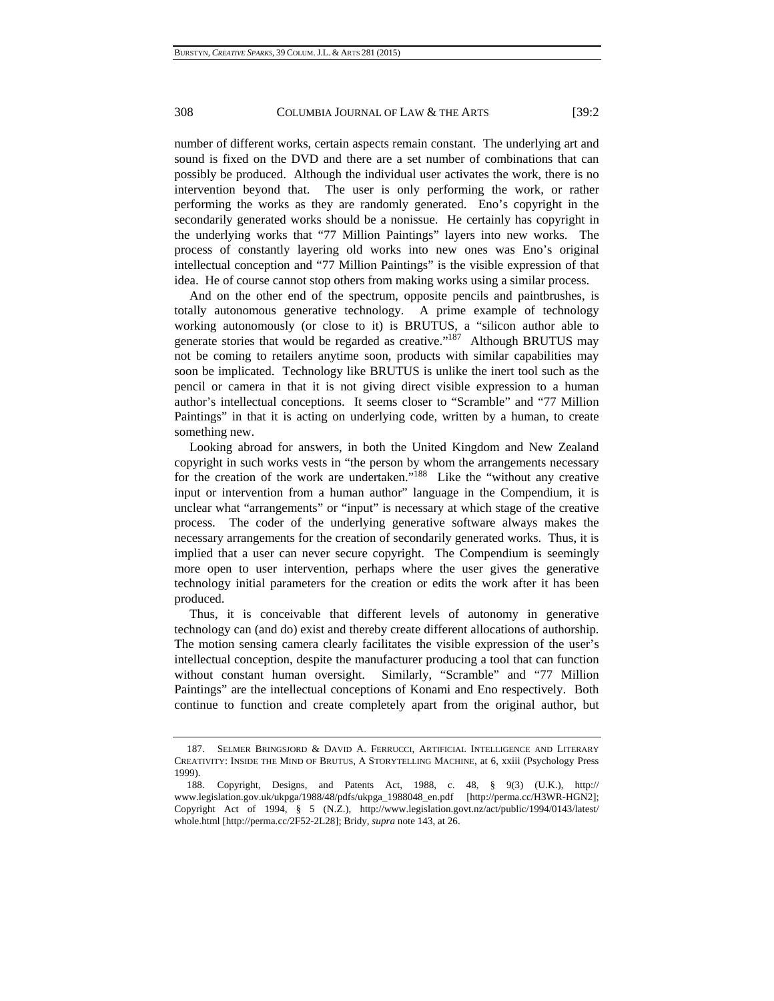number of different works, certain aspects remain constant. The underlying art and sound is fixed on the DVD and there are a set number of combinations that can possibly be produced. Although the individual user activates the work, there is no intervention beyond that. The user is only performing the work, or rather performing the works as they are randomly generated. Eno's copyright in the secondarily generated works should be a nonissue. He certainly has copyright in the underlying works that "77 Million Paintings" layers into new works. The process of constantly layering old works into new ones was Eno's original intellectual conception and "77 Million Paintings" is the visible expression of that idea. He of course cannot stop others from making works using a similar process.

And on the other end of the spectrum, opposite pencils and paintbrushes, is totally autonomous generative technology. A prime example of technology working autonomously (or close to it) is BRUTUS, a "silicon author able to generate stories that would be regarded as creative."<sup>187</sup> Although BRUTUS may not be coming to retailers anytime soon, products with similar capabilities may soon be implicated. Technology like BRUTUS is unlike the inert tool such as the pencil or camera in that it is not giving direct visible expression to a human author's intellectual conceptions. It seems closer to "Scramble" and "77 Million Paintings" in that it is acting on underlying code, written by a human, to create something new.

Looking abroad for answers, in both the United Kingdom and New Zealand copyright in such works vests in "the person by whom the arrangements necessary for the creation of the work are undertaken."188 Like the "without any creative input or intervention from a human author" language in the Compendium, it is unclear what "arrangements" or "input" is necessary at which stage of the creative process. The coder of the underlying generative software always makes the necessary arrangements for the creation of secondarily generated works. Thus, it is implied that a user can never secure copyright. The Compendium is seemingly more open to user intervention, perhaps where the user gives the generative technology initial parameters for the creation or edits the work after it has been produced.

Thus, it is conceivable that different levels of autonomy in generative technology can (and do) exist and thereby create different allocations of authorship. The motion sensing camera clearly facilitates the visible expression of the user's intellectual conception, despite the manufacturer producing a tool that can function without constant human oversight. Similarly, "Scramble" and "77 Million Paintings" are the intellectual conceptions of Konami and Eno respectively. Both continue to function and create completely apart from the original author, but

 <sup>187.</sup> SELMER BRINGSJORD & DAVID A. FERRUCCI, ARTIFICIAL INTELLIGENCE AND LITERARY CREATIVITY: INSIDE THE MIND OF BRUTUS, A STORYTELLING MACHINE, at 6, xxiii (Psychology Press 1999).

 <sup>188.</sup> Copyright, Designs, and Patents Act, 1988, c. 48, § 9(3) (U.K.), http:// www.legislation.gov.uk/ukpga/1988/48/pdfs/ukpga\_1988048\_en.pdf [http://perma.cc/H3WR-HGN2]; Copyright Act of 1994, § 5 (N.Z.), http://www.legislation.govt.nz/act/public/1994/0143/latest/ whole.html [http://perma.cc/2F52-2L28]; Bridy, *supra* note 143, at 26.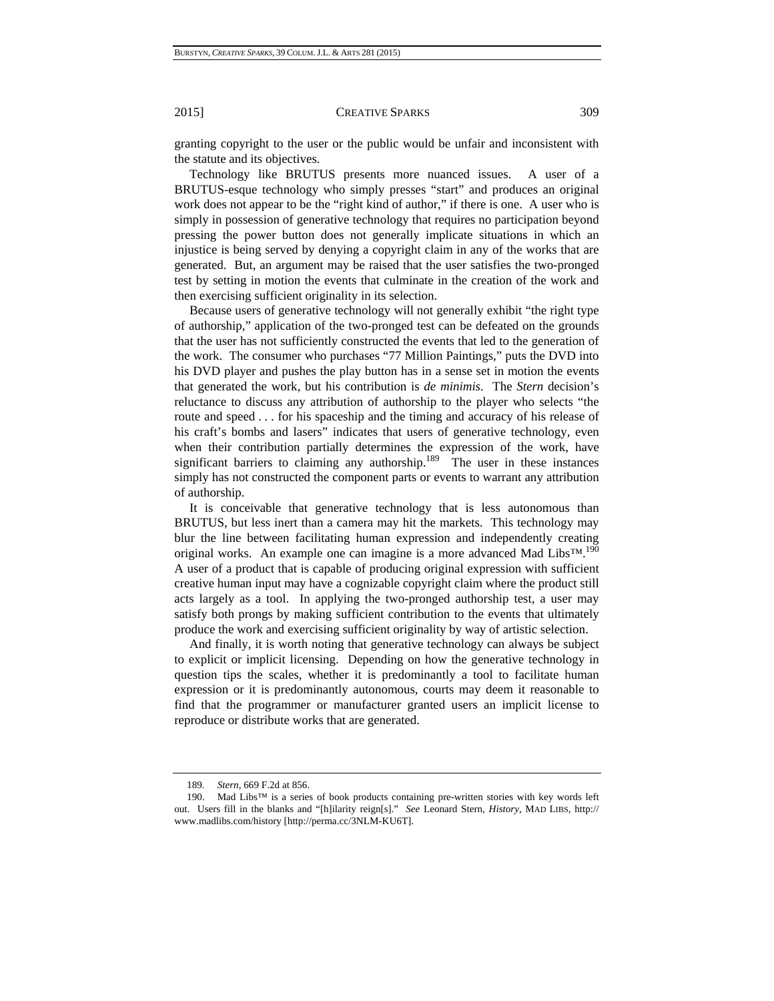granting copyright to the user or the public would be unfair and inconsistent with the statute and its objectives.

Technology like BRUTUS presents more nuanced issues. A user of a BRUTUS-esque technology who simply presses "start" and produces an original work does not appear to be the "right kind of author," if there is one. A user who is simply in possession of generative technology that requires no participation beyond pressing the power button does not generally implicate situations in which an injustice is being served by denying a copyright claim in any of the works that are generated. But, an argument may be raised that the user satisfies the two-pronged test by setting in motion the events that culminate in the creation of the work and then exercising sufficient originality in its selection.

Because users of generative technology will not generally exhibit "the right type of authorship," application of the two-pronged test can be defeated on the grounds that the user has not sufficiently constructed the events that led to the generation of the work. The consumer who purchases "77 Million Paintings," puts the DVD into his DVD player and pushes the play button has in a sense set in motion the events that generated the work, but his contribution is *de minimis*. The *Stern* decision's reluctance to discuss any attribution of authorship to the player who selects "the route and speed . . . for his spaceship and the timing and accuracy of his release of his craft's bombs and lasers" indicates that users of generative technology, even when their contribution partially determines the expression of the work, have significant barriers to claiming any authorship.<sup>189</sup> The user in these instances simply has not constructed the component parts or events to warrant any attribution of authorship.

It is conceivable that generative technology that is less autonomous than BRUTUS, but less inert than a camera may hit the markets. This technology may blur the line between facilitating human expression and independently creating original works. An example one can imagine is a more advanced Mad Libs™.190 A user of a product that is capable of producing original expression with sufficient creative human input may have a cognizable copyright claim where the product still acts largely as a tool. In applying the two-pronged authorship test, a user may satisfy both prongs by making sufficient contribution to the events that ultimately produce the work and exercising sufficient originality by way of artistic selection.

And finally, it is worth noting that generative technology can always be subject to explicit or implicit licensing. Depending on how the generative technology in question tips the scales, whether it is predominantly a tool to facilitate human expression or it is predominantly autonomous, courts may deem it reasonable to find that the programmer or manufacturer granted users an implicit license to reproduce or distribute works that are generated.

<sup>189</sup>*. Stern*, 669 F.2d at 856.

 <sup>190.</sup> Mad Libs™ is a series of book products containing pre-written stories with key words left out. Users fill in the blanks and "[h]ilarity reign[s]." *See* Leonard Stern, *History*, MAD LIBS, http:// www.madlibs.com/history [http://perma.cc/3NLM-KU6T].